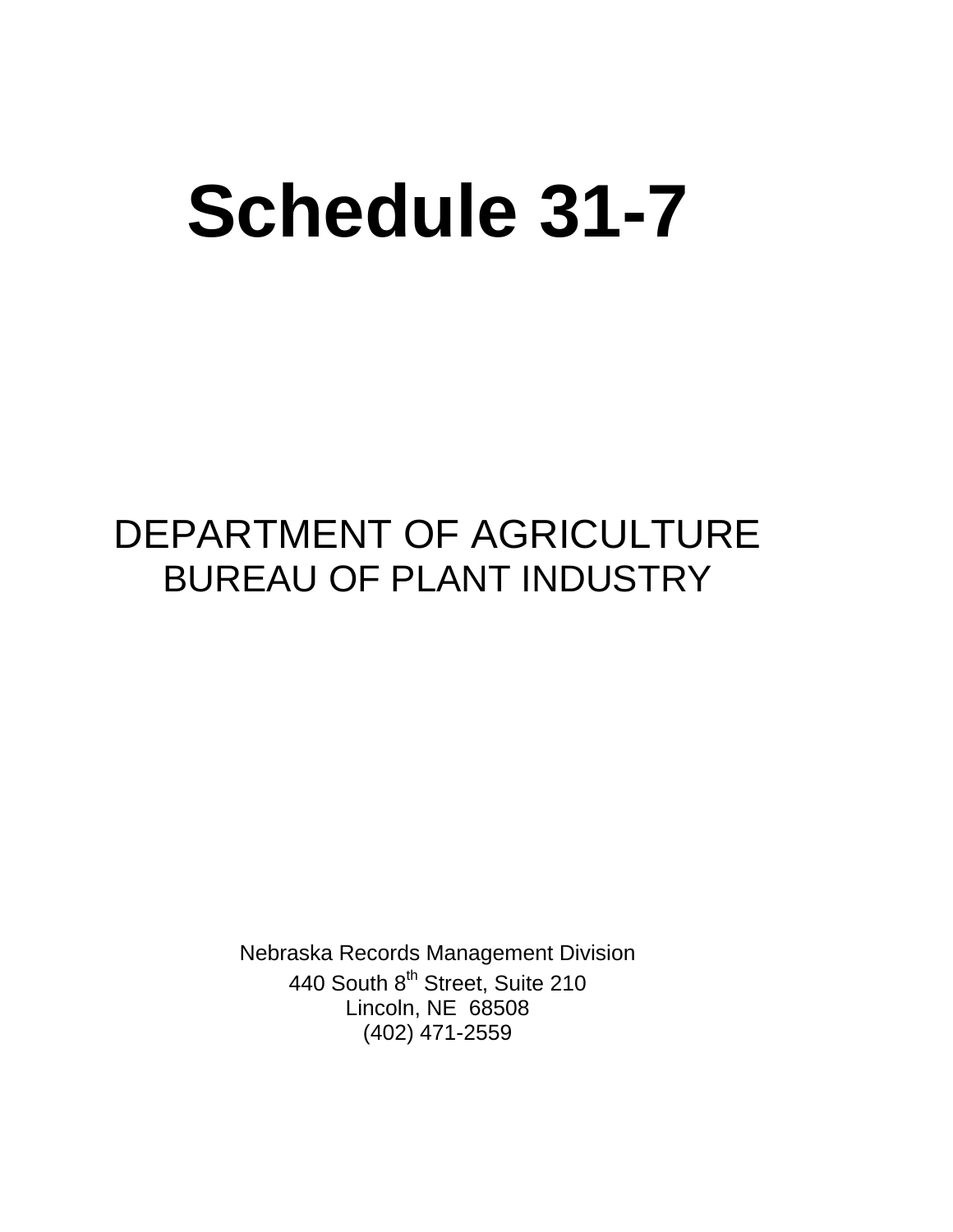# **Schedule 31-7**

# DEPARTMENT OF AGRICULTURE BUREAU OF PLANT INDUSTRY

Nebraska Records Management Division 440 South 8<sup>th</sup> Street, Suite 210 Lincoln, NE 68508 (402) 471-2559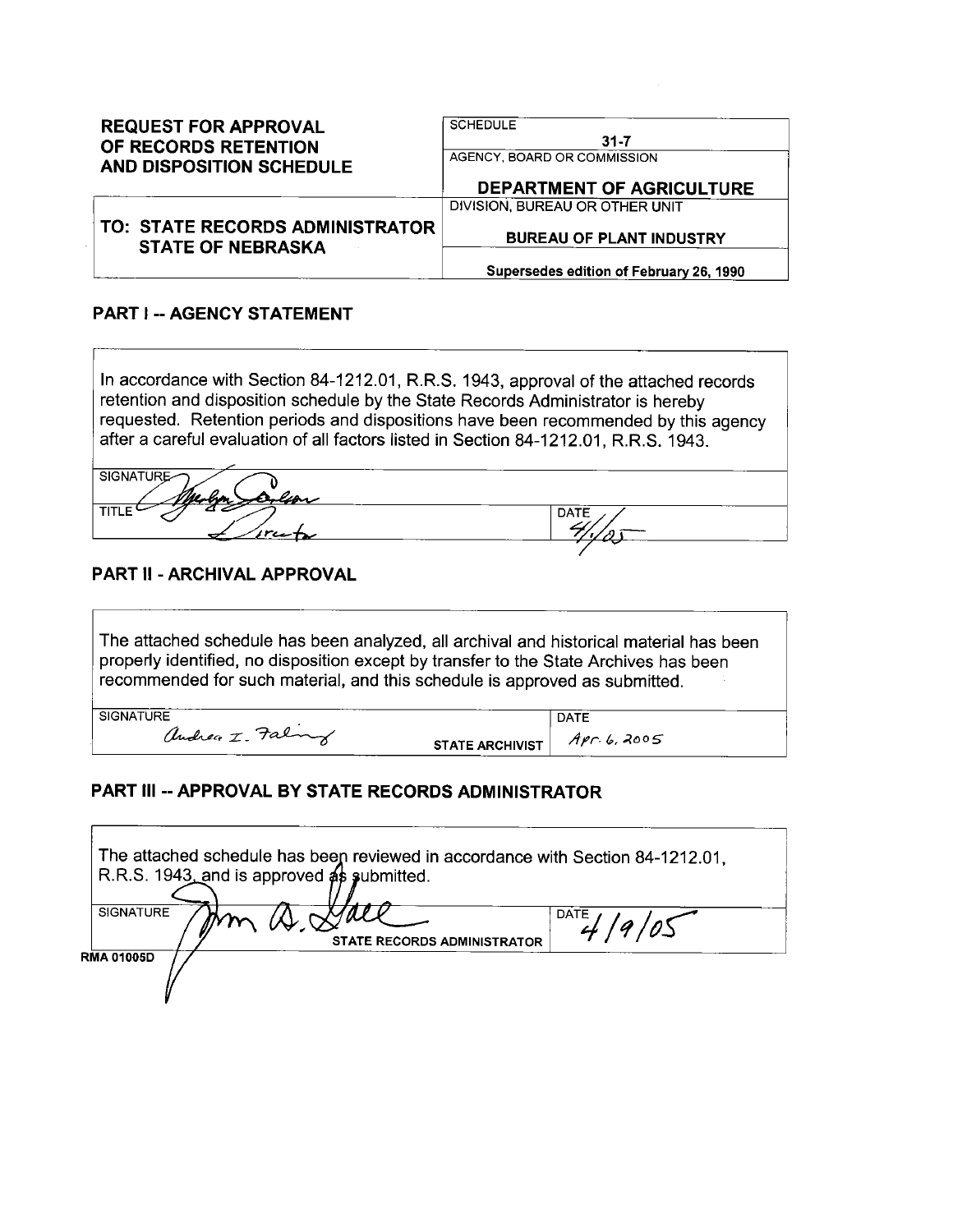| <b>REQUEST FOR APPROVAL</b><br>OF RECORDS RETENTION         | <b>SCHEDULE</b><br>$31 - 7$             |
|-------------------------------------------------------------|-----------------------------------------|
| <b>AND DISPOSITION SCHEDULE</b>                             | AGENCY, BOARD OR COMMISSION             |
|                                                             | <b>DEPARTMENT OF AGRICULTURE</b>        |
|                                                             | DIVISION, BUREAU OR OTHER UNIT          |
| TO: STATE RECORDS ADMINISTRATOR<br><b>STATE OF NEBRASKA</b> | <b>BUREAU OF PLANT INDUSTRY</b>         |
|                                                             | Supersedes edition of February 26, 1990 |

#### **PART I -- AGENCY STATEMENT**

In accordance with Section 84-1212.01, R.R.S. 1943, approval of the attached records retention and disposition schedule by the State Records Administrator is hereby requested. Retention periods and dispositions have been recommended by this agency after a careful evaluation of all factors listed in Section 84-1212.01, R.R.S. 1943.

| <b>SIGNATURE-</b>   |     |
|---------------------|-----|
|                     |     |
| Melin<br>lion       |     |
| <b>TITLE</b><br>- 1 |     |
|                     | DA1 |
|                     |     |
| rcete               |     |
|                     |     |
|                     |     |

#### PART II - ARCHIVAL APPROVAL

The attached schedule has been analyzed, all archival and historical material has been properly identified, no disposition except by transfer to the State Archives has been recommended for such material, and this schedule is approved as submitted.

**SIGNATURE** 

andrea I. Faling

 $Apr.6, 2005$ **STATE ARCHIVIST** 

**DATE** 

#### PART III -- APPROVAL BY STATE RECORDS ADMINISTRATOR

| The attached schedule has been reviewed in accordance with Section 84-1212.01,<br>R.R.S. 1943, and is approved as submitted. |  |
|------------------------------------------------------------------------------------------------------------------------------|--|
| <b>SIGNATURE</b><br>DATE<br>STATE RECORDS ADMINISTRATOR                                                                      |  |
| <b>RMA 01005D</b>                                                                                                            |  |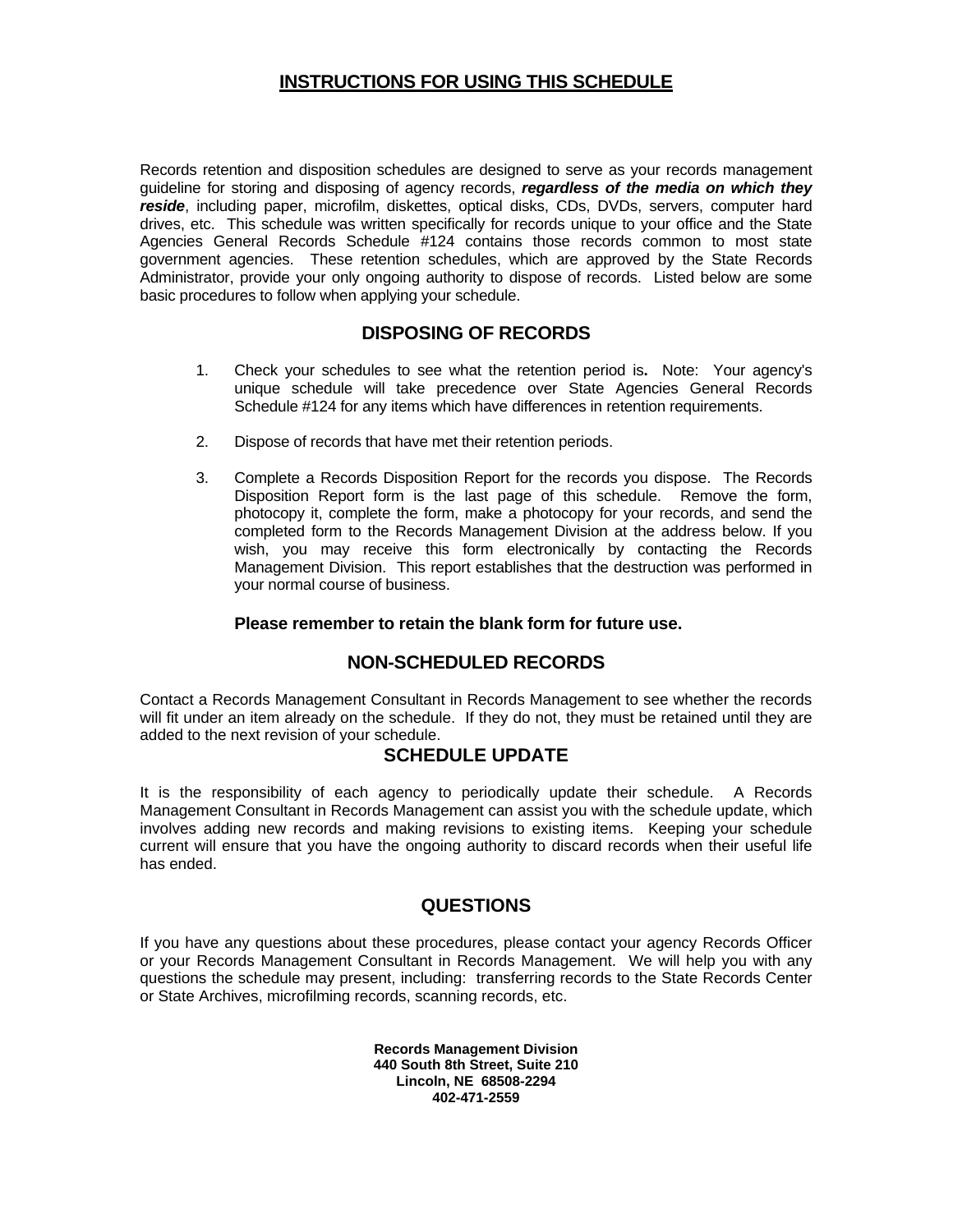#### **INSTRUCTIONS FOR USING THIS SCHEDULE**

Records retention and disposition schedules are designed to serve as your records management guideline for storing and disposing of agency records, *regardless of the media on which they reside*, including paper, microfilm, diskettes, optical disks, CDs, DVDs, servers, computer hard drives, etc. This schedule was written specifically for records unique to your office and the State Agencies General Records Schedule #124 contains those records common to most state government agencies. These retention schedules, which are approved by the State Records Administrator, provide your only ongoing authority to dispose of records. Listed below are some basic procedures to follow when applying your schedule.

#### **DISPOSING OF RECORDS**

- 1. Check your schedules to see what the retention period is**.** Note: Your agency's unique schedule will take precedence over State Agencies General Records Schedule #124 for any items which have differences in retention requirements.
- 2. Dispose of records that have met their retention periods.
- 3. Complete a Records Disposition Report for the records you dispose. The Records Disposition Report form is the last page of this schedule. Remove the form, photocopy it, complete the form, make a photocopy for your records, and send the completed form to the Records Management Division at the address below. If you wish, you may receive this form electronically by contacting the Records Management Division. This report establishes that the destruction was performed in your normal course of business.

#### **Please remember to retain the blank form for future use.**

#### **NON-SCHEDULED RECORDS**

Contact a Records Management Consultant in Records Management to see whether the records will fit under an item already on the schedule. If they do not, they must be retained until they are added to the next revision of your schedule.

#### **SCHEDULE UPDATE**

It is the responsibility of each agency to periodically update their schedule. A Records Management Consultant in Records Management can assist you with the schedule update, which involves adding new records and making revisions to existing items. Keeping your schedule current will ensure that you have the ongoing authority to discard records when their useful life has ended.

#### **QUESTIONS**

If you have any questions about these procedures, please contact your agency Records Officer or your Records Management Consultant in Records Management. We will help you with any questions the schedule may present, including: transferring records to the State Records Center or State Archives, microfilming records, scanning records, etc.

> **Records Management Division 440 South 8th Street, Suite 210 Lincoln, NE 68508-2294 402-471-2559**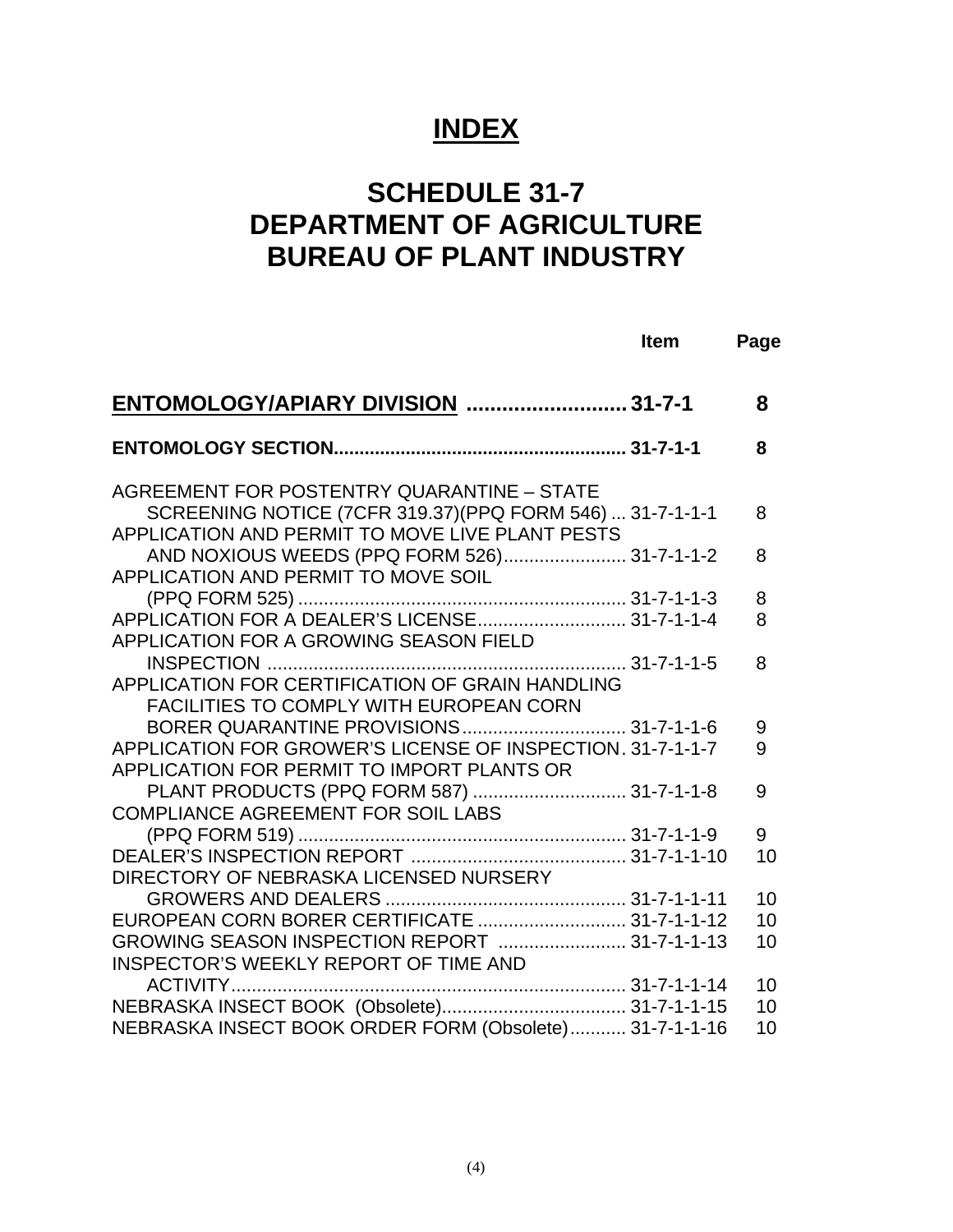# **INDEX**

# **SCHEDULE 31-7 DEPARTMENT OF AGRICULTURE BUREAU OF PLANT INDUSTRY**

|                                                                                                                                                                                                      | <b>Item</b> | Page     |
|------------------------------------------------------------------------------------------------------------------------------------------------------------------------------------------------------|-------------|----------|
| ENTOMOLOGY/APIARY DIVISION  31-7-1                                                                                                                                                                   |             | 8        |
|                                                                                                                                                                                                      |             | 8        |
| AGREEMENT FOR POSTENTRY QUARANTINE - STATE<br>SCREENING NOTICE (7CFR 319.37) (PPQ FORM 546)  31-7-1-1-1<br>APPLICATION AND PERMIT TO MOVE LIVE PLANT PESTS                                           |             | 8        |
| AND NOXIOUS WEEDS (PPQ FORM 526) 31-7-1-1-2<br>APPLICATION AND PERMIT TO MOVE SOIL                                                                                                                   |             | 8        |
| APPLICATION FOR A GROWING SEASON FIELD                                                                                                                                                               |             | 8<br>8   |
| APPLICATION FOR CERTIFICATION OF GRAIN HANDLING                                                                                                                                                      |             | 8        |
| <b>FACILITIES TO COMPLY WITH EUROPEAN CORN</b><br>BORER QUARANTINE PROVISIONS 31-7-1-1-6<br>APPLICATION FOR GROWER'S LICENSE OF INSPECTION, 31-7-1-1-7<br>APPLICATION FOR PERMIT TO IMPORT PLANTS OR |             | 9<br>9   |
| PLANT PRODUCTS (PPQ FORM 587)  31-7-1-1-8<br>COMPLIANCE AGREEMENT FOR SOIL LABS                                                                                                                      |             | 9        |
| DIRECTORY OF NEBRASKA LICENSED NURSERY                                                                                                                                                               |             | 9<br>10  |
| EUROPEAN CORN BORER CERTIFICATE  31-7-1-1-12                                                                                                                                                         |             | 10<br>10 |
| GROWING SEASON INSPECTION REPORT  31-7-1-1-13<br>INSPECTOR'S WEEKLY REPORT OF TIME AND                                                                                                               |             | 10       |
|                                                                                                                                                                                                      |             | 10<br>10 |
| NEBRASKA INSECT BOOK ORDER FORM (Obsolete) 31-7-1-1-16                                                                                                                                               |             | 10       |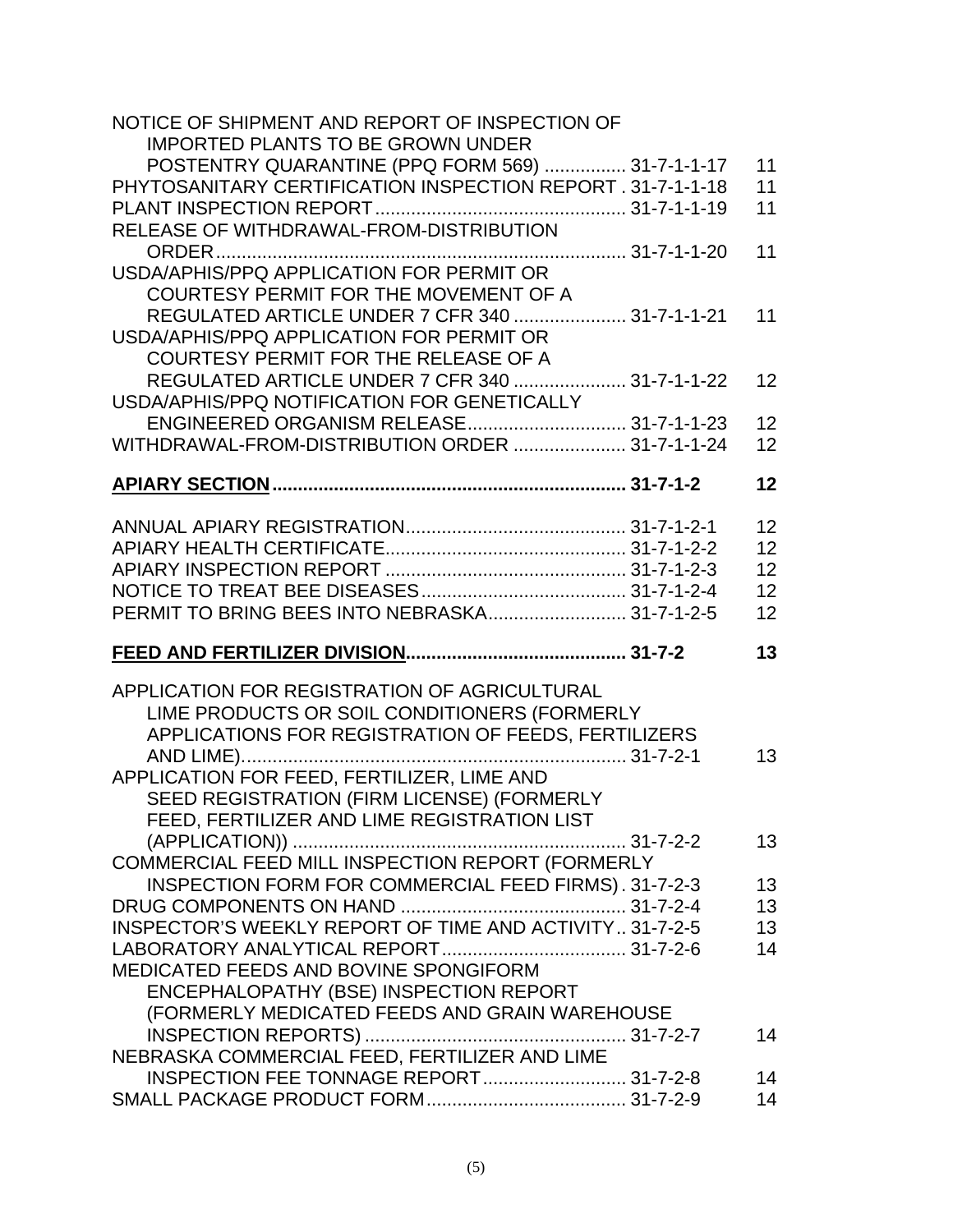| NOTICE OF SHIPMENT AND REPORT OF INSPECTION OF              |    |
|-------------------------------------------------------------|----|
| <b>IMPORTED PLANTS TO BE GROWN UNDER</b>                    |    |
| POSTENTRY QUARANTINE (PPQ FORM 569)  31-7-1-1-17            | 11 |
| PHYTOSANITARY CERTIFICATION INSPECTION REPORT . 31-7-1-1-18 | 11 |
|                                                             | 11 |
| RELEASE OF WITHDRAWAL-FROM-DISTRIBUTION                     |    |
|                                                             | 11 |
| USDA/APHIS/PPQ APPLICATION FOR PERMIT OR                    |    |
| COURTESY PERMIT FOR THE MOVEMENT OF A                       |    |
| REGULATED ARTICLE UNDER 7 CFR 340  31-7-1-1-21              | 11 |
| USDA/APHIS/PPQ APPLICATION FOR PERMIT OR                    |    |
| <b>COURTESY PERMIT FOR THE RELEASE OF A</b>                 |    |
| REGULATED ARTICLE UNDER 7 CFR 340  31-7-1-1-22              | 12 |
| USDA/APHIS/PPQ NOTIFICATION FOR GENETICALLY                 |    |
|                                                             | 12 |
| WITHDRAWAL-FROM-DISTRIBUTION ORDER  31-7-1-1-24             | 12 |
|                                                             |    |
|                                                             | 12 |
|                                                             |    |
|                                                             | 12 |
|                                                             | 12 |
|                                                             | 12 |
|                                                             | 12 |
| PERMIT TO BRING BEES INTO NEBRASKA 31-7-1-2-5               | 12 |
|                                                             |    |
|                                                             | 13 |
|                                                             |    |
| APPLICATION FOR REGISTRATION OF AGRICULTURAL                |    |
| LIME PRODUCTS OR SOIL CONDITIONERS (FORMERLY                |    |
| APPLICATIONS FOR REGISTRATION OF FEEDS, FERTILIZERS         |    |
|                                                             | 13 |
| APPLICATION FOR FEED, FERTILIZER, LIME AND                  |    |
| SEED REGISTRATION (FIRM LICENSE) (FORMERLY                  |    |
| FEED, FERTILIZER AND LIME REGISTRATION LIST                 |    |
|                                                             | 13 |
| COMMERCIAL FEED MILL INSPECTION REPORT (FORMERLY            |    |
| INSPECTION FORM FOR COMMERCIAL FEED FIRMS). 31-7-2-3        | 13 |
|                                                             | 13 |
| INSPECTOR'S WEEKLY REPORT OF TIME AND ACTIVITY 31-7-2-5     | 13 |
|                                                             | 14 |
| MEDICATED FEEDS AND BOVINE SPONGIFORM                       |    |
| ENCEPHALOPATHY (BSE) INSPECTION REPORT                      |    |
| (FORMERLY MEDICATED FEEDS AND GRAIN WAREHOUSE               |    |
|                                                             | 14 |
|                                                             |    |
| INSPECTION FEE TONNAGE REPORT 31-7-2-8                      | 14 |
|                                                             | 14 |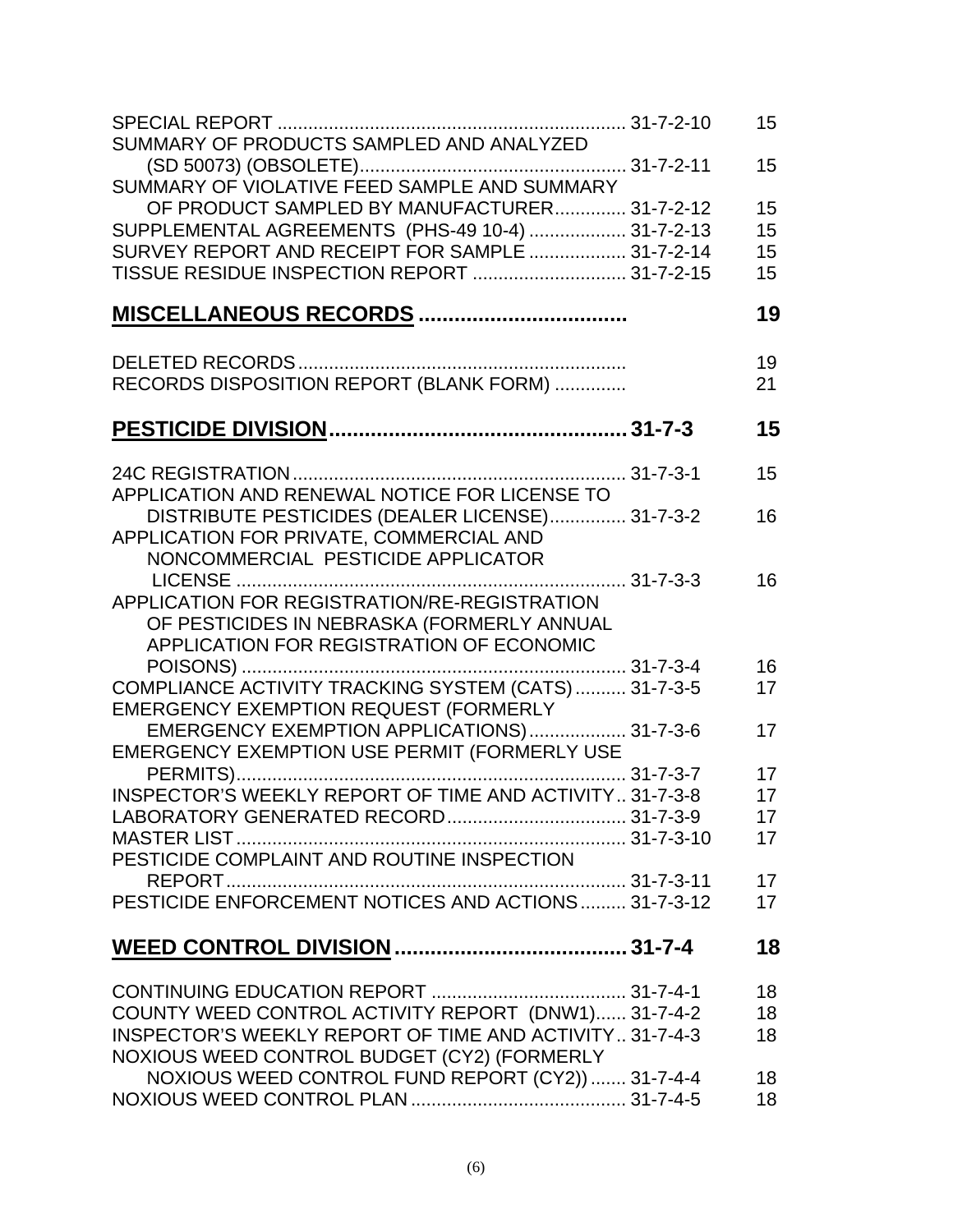| SUMMARY OF PRODUCTS SAMPLED AND ANALYZED                       | 15              |
|----------------------------------------------------------------|-----------------|
| SUMMARY OF VIOLATIVE FEED SAMPLE AND SUMMARY                   | 15              |
| OF PRODUCT SAMPLED BY MANUFACTURER 31-7-2-12                   | 15              |
| SUPPLEMENTAL AGREEMENTS (PHS-49 10-4)  31-7-2-13               | 15              |
| SURVEY REPORT AND RECEIPT FOR SAMPLE  31-7-2-14                | 15              |
| TISSUE RESIDUE INSPECTION REPORT  31-7-2-15                    | 15              |
|                                                                | 19              |
|                                                                | 19              |
| RECORDS DISPOSITION REPORT (BLANK FORM)                        | 21              |
|                                                                | 15              |
|                                                                | 15              |
| APPLICATION AND RENEWAL NOTICE FOR LICENSE TO                  |                 |
| DISTRIBUTE PESTICIDES (DEALER LICENSE) 31-7-3-2                | 16              |
| APPLICATION FOR PRIVATE, COMMERCIAL AND                        |                 |
| NONCOMMERCIAL PESTICIDE APPLICATOR                             |                 |
|                                                                | 16              |
| APPLICATION FOR REGISTRATION/RE-REGISTRATION                   |                 |
| OF PESTICIDES IN NEBRASKA (FORMERLY ANNUAL                     |                 |
| APPLICATION FOR REGISTRATION OF ECONOMIC                       |                 |
|                                                                | 16              |
| COMPLIANCE ACTIVITY TRACKING SYSTEM (CATS)  31-7-3-5           | 17              |
| EMERGENCY EXEMPTION REQUEST (FORMERLY                          |                 |
| EMERGENCY EXEMPTION APPLICATIONS) 31-7-3-6                     | 17              |
| EMERGENCY EXEMPTION USE PERMIT (FORMERLY USE                   |                 |
|                                                                | 17              |
| INSPECTOR'S WEEKLY REPORT OF TIME AND ACTIVITY 31-7-3-8        | 17              |
|                                                                | 17 <sup>2</sup> |
|                                                                | 17              |
| PESTICIDE COMPLAINT AND ROUTINE INSPECTION                     |                 |
|                                                                | 17              |
| PESTICIDE ENFORCEMENT NOTICES AND ACTIONS 31-7-3-12            | 17              |
|                                                                | 18              |
|                                                                |                 |
|                                                                | 18              |
| COUNTY WEED CONTROL ACTIVITY REPORT (DNW1) 31-7-4-2            | 18              |
| <b>INSPECTOR'S WEEKLY REPORT OF TIME AND ACTIVITY 31-7-4-3</b> | 18              |
| NOXIOUS WEED CONTROL BUDGET (CY2) (FORMERLY                    |                 |
| NOXIOUS WEED CONTROL FUND REPORT (CY2))  31-7-4-4              | 18              |
|                                                                | 18              |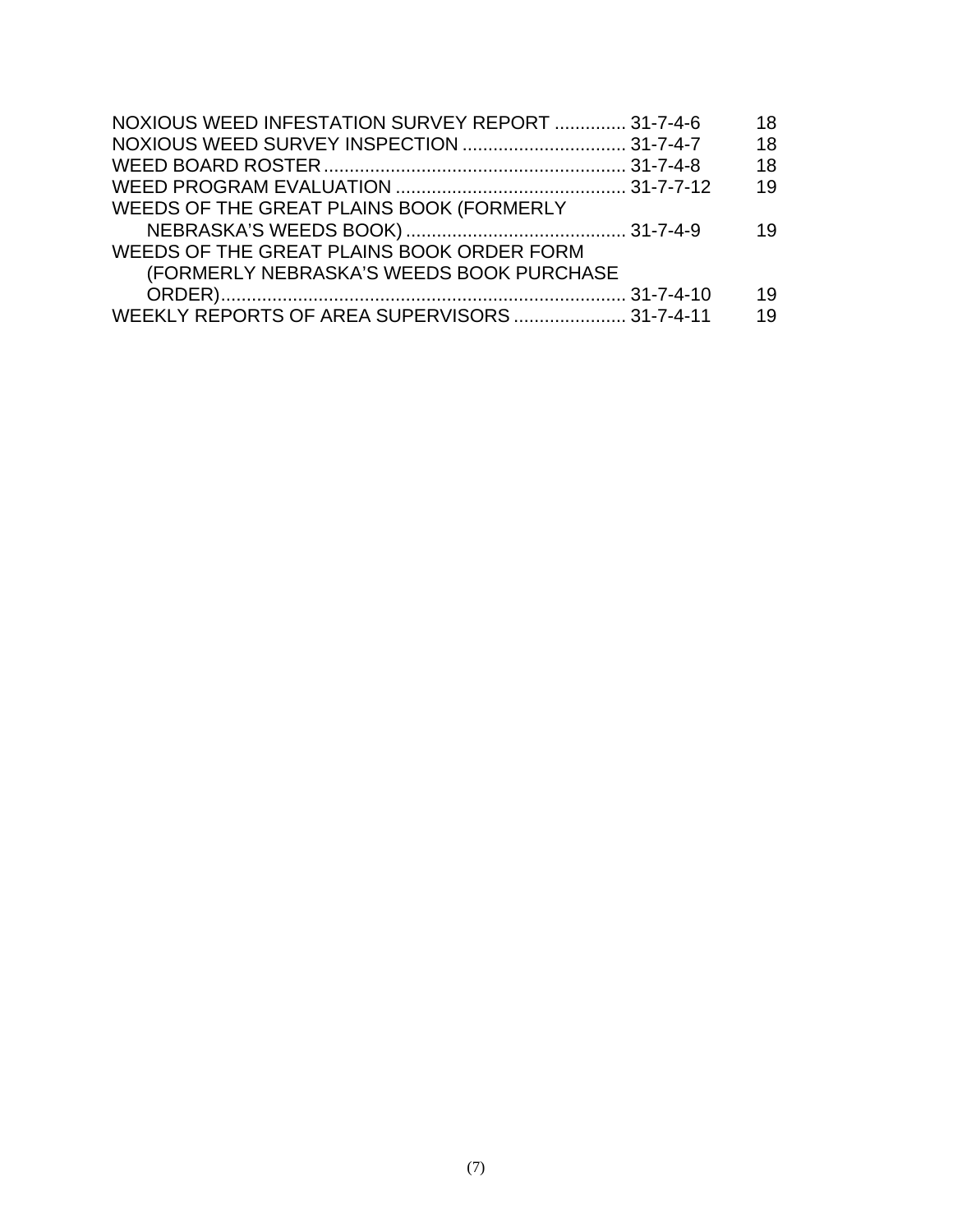| NOXIOUS WEED INFESTATION SURVEY REPORT  31-7-4-6 | 18 |
|--------------------------------------------------|----|
|                                                  | 18 |
|                                                  | 18 |
|                                                  | 19 |
| WEEDS OF THE GREAT PLAINS BOOK (FORMERLY         |    |
|                                                  | 19 |
| WEEDS OF THE GREAT PLAINS BOOK ORDER FORM        |    |
| (FORMERLY NEBRASKA'S WEEDS BOOK PURCHASE         |    |
|                                                  | 19 |
| WEEKLY REPORTS OF AREA SUPERVISORS  31-7-4-11    | 19 |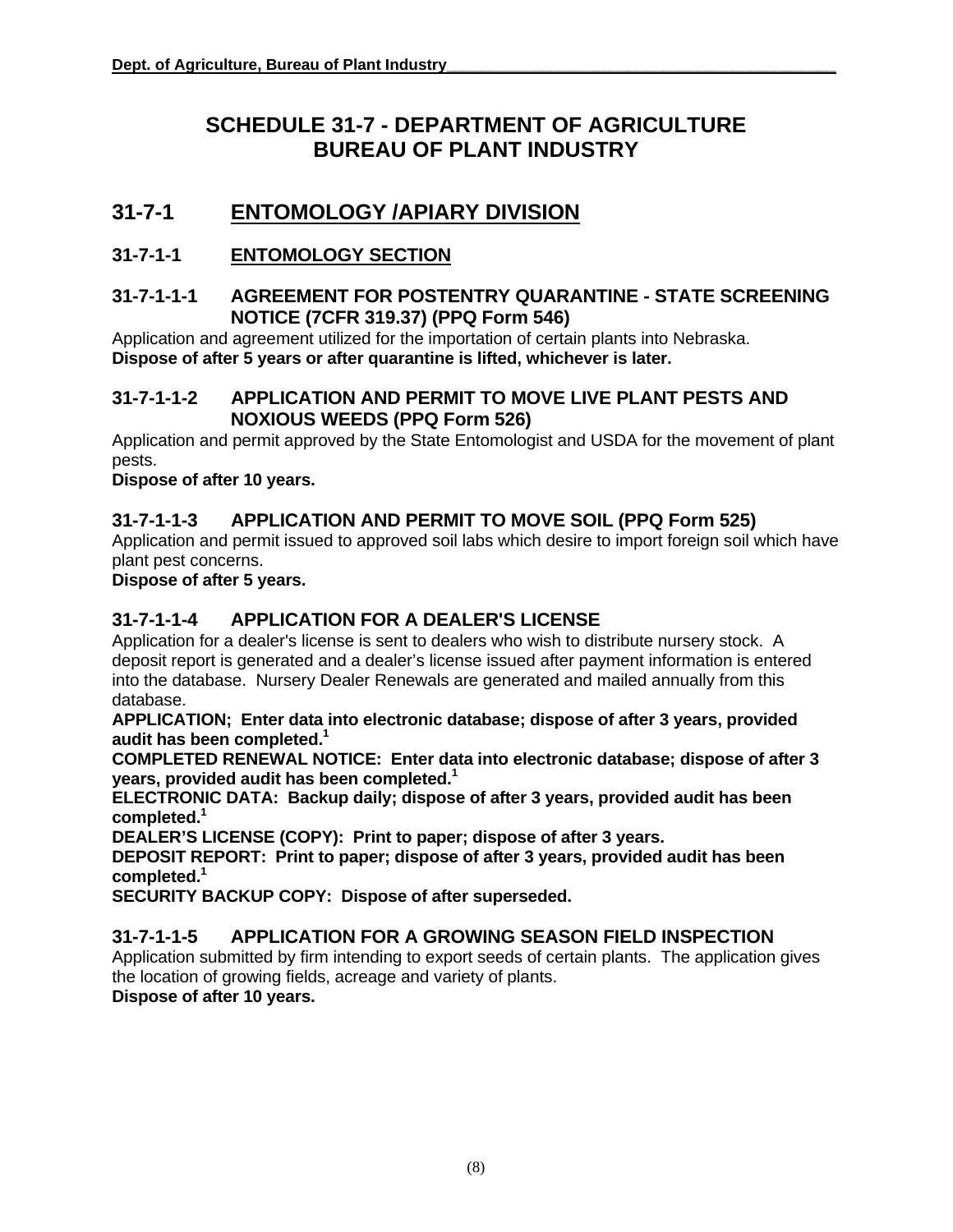# **SCHEDULE 31-7 - DEPARTMENT OF AGRICULTURE BUREAU OF PLANT INDUSTRY**

# **31-7-1 ENTOMOLOGY /APIARY DIVISION**

#### **31-7-1-1 ENTOMOLOGY SECTION**

#### **31-7-1-1-1 AGREEMENT FOR POSTENTRY QUARANTINE - STATE SCREENING NOTICE (7CFR 319.37) (PPQ Form 546)**

Application and agreement utilized for the importation of certain plants into Nebraska. **Dispose of after 5 years or after quarantine is lifted, whichever is later.** 

#### **31-7-1-1-2 APPLICATION AND PERMIT TO MOVE LIVE PLANT PESTS AND NOXIOUS WEEDS (PPQ Form 526)**

Application and permit approved by the State Entomologist and USDA for the movement of plant pests.

**Dispose of after 10 years.** 

#### **31-7-1-1-3 APPLICATION AND PERMIT TO MOVE SOIL (PPQ Form 525)**

Application and permit issued to approved soil labs which desire to import foreign soil which have plant pest concerns.

**Dispose of after 5 years.** 

#### **31-7-1-1-4 APPLICATION FOR A DEALER'S LICENSE**

Application for a dealer's license is sent to dealers who wish to distribute nursery stock. A deposit report is generated and a dealer's license issued after payment information is entered into the database. Nursery Dealer Renewals are generated and mailed annually from this database.

**APPLICATION; Enter data into electronic database; dispose of after 3 years, provided audit has been completed.1**

**COMPLETED RENEWAL NOTICE: Enter data into electronic database; dispose of after 3 years, provided audit has been completed.1** 

**ELECTRONIC DATA: Backup daily; dispose of after 3 years, provided audit has been completed. 1** 

**DEALER'S LICENSE (COPY): Print to paper; dispose of after 3 years.**

**DEPOSIT REPORT: Print to paper; dispose of after 3 years, provided audit has been completed. 1** 

**SECURITY BACKUP COPY: Dispose of after superseded.** 

#### **31-7-1-1-5 APPLICATION FOR A GROWING SEASON FIELD INSPECTION**

Application submitted by firm intending to export seeds of certain plants. The application gives the location of growing fields, acreage and variety of plants.

**Dispose of after 10 years.**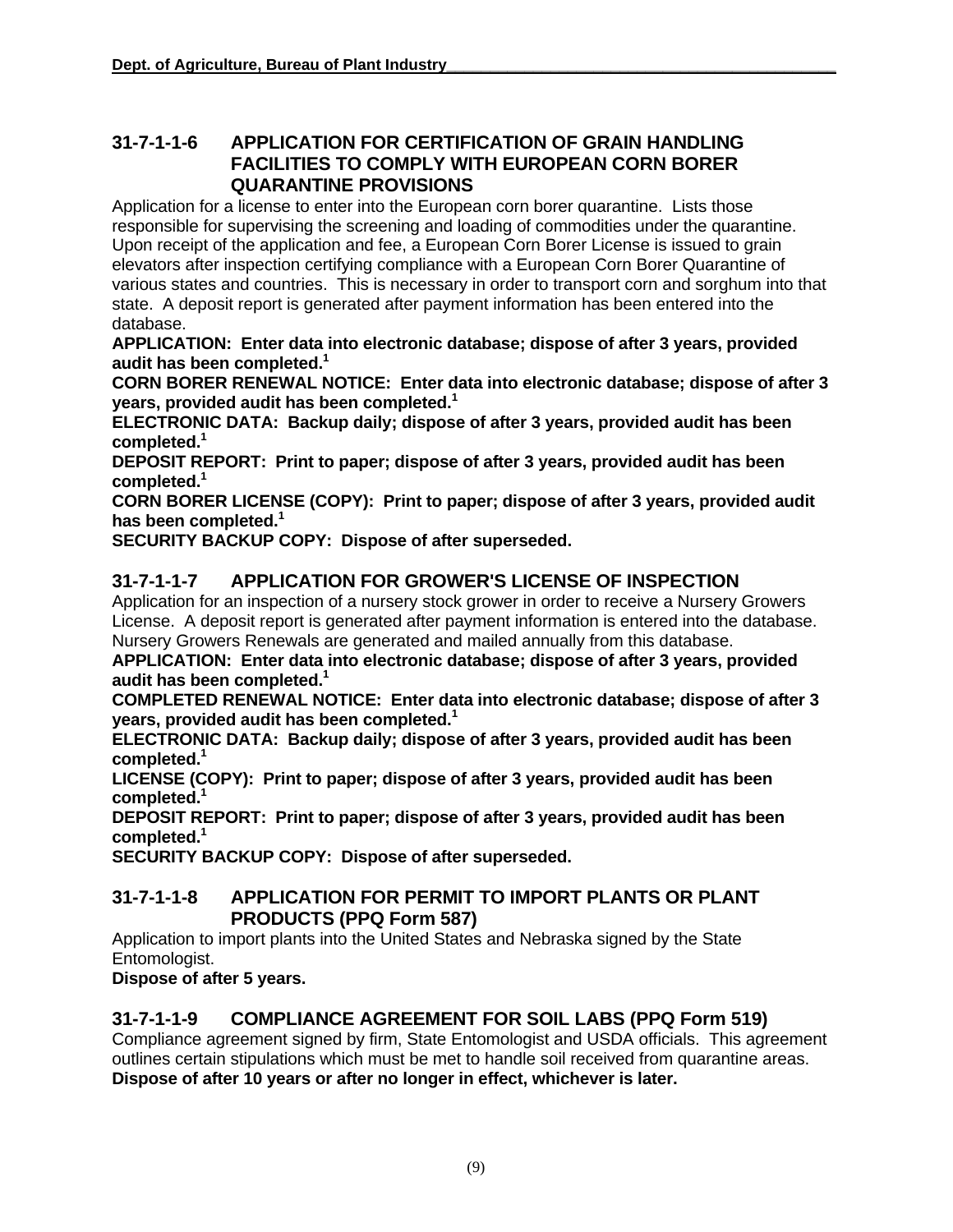#### **31-7-1-1-6 APPLICATION FOR CERTIFICATION OF GRAIN HANDLING FACILITIES TO COMPLY WITH EUROPEAN CORN BORER QUARANTINE PROVISIONS**

Application for a license to enter into the European corn borer quarantine. Lists those responsible for supervising the screening and loading of commodities under the quarantine. Upon receipt of the application and fee, a European Corn Borer License is issued to grain elevators after inspection certifying compliance with a European Corn Borer Quarantine of various states and countries. This is necessary in order to transport corn and sorghum into that state. A deposit report is generated after payment information has been entered into the database.

**APPLICATION: Enter data into electronic database; dispose of after 3 years, provided audit has been completed.1** 

**CORN BORER RENEWAL NOTICE: Enter data into electronic database; dispose of after 3 years, provided audit has been completed.1** 

**ELECTRONIC DATA: Backup daily; dispose of after 3 years, provided audit has been completed. 1** 

**DEPOSIT REPORT: Print to paper; dispose of after 3 years, provided audit has been completed. 1** 

**CORN BORER LICENSE (COPY): Print to paper; dispose of after 3 years, provided audit has been completed.1** 

**SECURITY BACKUP COPY: Dispose of after superseded.** 

#### **31-7-1-1-7 APPLICATION FOR GROWER'S LICENSE OF INSPECTION**

Application for an inspection of a nursery stock grower in order to receive a Nursery Growers License. A deposit report is generated after payment information is entered into the database. Nursery Growers Renewals are generated and mailed annually from this database.

**APPLICATION: Enter data into electronic database; dispose of after 3 years, provided audit has been completed.1** 

**COMPLETED RENEWAL NOTICE: Enter data into electronic database; dispose of after 3 years, provided audit has been completed.1** 

**ELECTRONIC DATA: Backup daily; dispose of after 3 years, provided audit has been completed. 1** 

**LICENSE (COPY): Print to paper; dispose of after 3 years, provided audit has been completed. 1** 

**DEPOSIT REPORT: Print to paper; dispose of after 3 years, provided audit has been completed. 1** 

**SECURITY BACKUP COPY: Dispose of after superseded.** 

#### **31-7-1-1-8 APPLICATION FOR PERMIT TO IMPORT PLANTS OR PLANT PRODUCTS (PPQ Form 587)**

Application to import plants into the United States and Nebraska signed by the State Entomologist.

**Dispose of after 5 years.** 

#### **31-7-1-1-9 COMPLIANCE AGREEMENT FOR SOIL LABS (PPQ Form 519)**

Compliance agreement signed by firm, State Entomologist and USDA officials. This agreement outlines certain stipulations which must be met to handle soil received from quarantine areas. **Dispose of after 10 years or after no longer in effect, whichever is later.**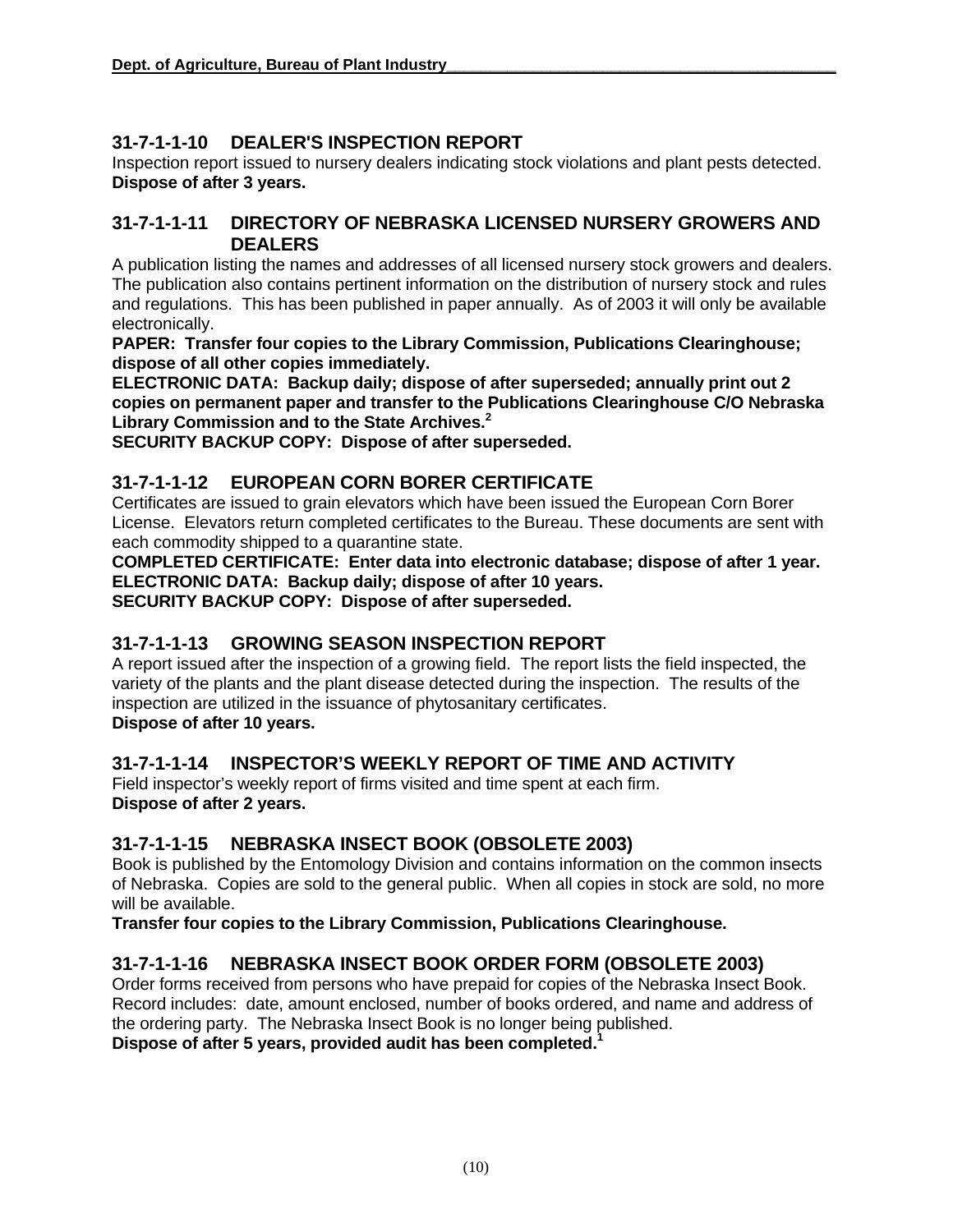#### **31-7-1-1-10 DEALER'S INSPECTION REPORT**

Inspection report issued to nursery dealers indicating stock violations and plant pests detected. **Dispose of after 3 years.** 

#### **31-7-1-1-11 DIRECTORY OF NEBRASKA LICENSED NURSERY GROWERS AND DEALERS**

A publication listing the names and addresses of all licensed nursery stock growers and dealers. The publication also contains pertinent information on the distribution of nursery stock and rules and regulations. This has been published in paper annually. As of 2003 it will only be available electronically.

**PAPER: Transfer four copies to the Library Commission, Publications Clearinghouse; dispose of all other copies immediately.**

**ELECTRONIC DATA: Backup daily; dispose of after superseded; annually print out 2 copies on permanent paper and transfer to the Publications Clearinghouse C/O Nebraska Library Commission and to the State Archives.2**

**SECURITY BACKUP COPY: Dispose of after superseded.** 

#### **31-7-1-1-12 EUROPEAN CORN BORER CERTIFICATE**

Certificates are issued to grain elevators which have been issued the European Corn Borer License. Elevators return completed certificates to the Bureau. These documents are sent with each commodity shipped to a quarantine state.

**COMPLETED CERTIFICATE: Enter data into electronic database; dispose of after 1 year. ELECTRONIC DATA: Backup daily; dispose of after 10 years. SECURITY BACKUP COPY: Dispose of after superseded.** 

#### **31-7-1-1-13 GROWING SEASON INSPECTION REPORT**

A report issued after the inspection of a growing field. The report lists the field inspected, the variety of the plants and the plant disease detected during the inspection. The results of the inspection are utilized in the issuance of phytosanitary certificates. **Dispose of after 10 years.** 

#### **31-7-1-1-14 INSPECTOR'S WEEKLY REPORT OF TIME AND ACTIVITY**

Field inspector's weekly report of firms visited and time spent at each firm. **Dispose of after 2 years.** 

#### **31-7-1-1-15 NEBRASKA INSECT BOOK (OBSOLETE 2003)**

Book is published by the Entomology Division and contains information on the common insects of Nebraska. Copies are sold to the general public. When all copies in stock are sold, no more will be available.

**Transfer four copies to the Library Commission, Publications Clearinghouse.** 

#### **31-7-1-1-16 NEBRASKA INSECT BOOK ORDER FORM (OBSOLETE 2003)**

Order forms received from persons who have prepaid for copies of the Nebraska Insect Book. Record includes: date, amount enclosed, number of books ordered, and name and address of the ordering party. The Nebraska Insect Book is no longer being published. **Dispose of after 5 years, provided audit has been completed.1**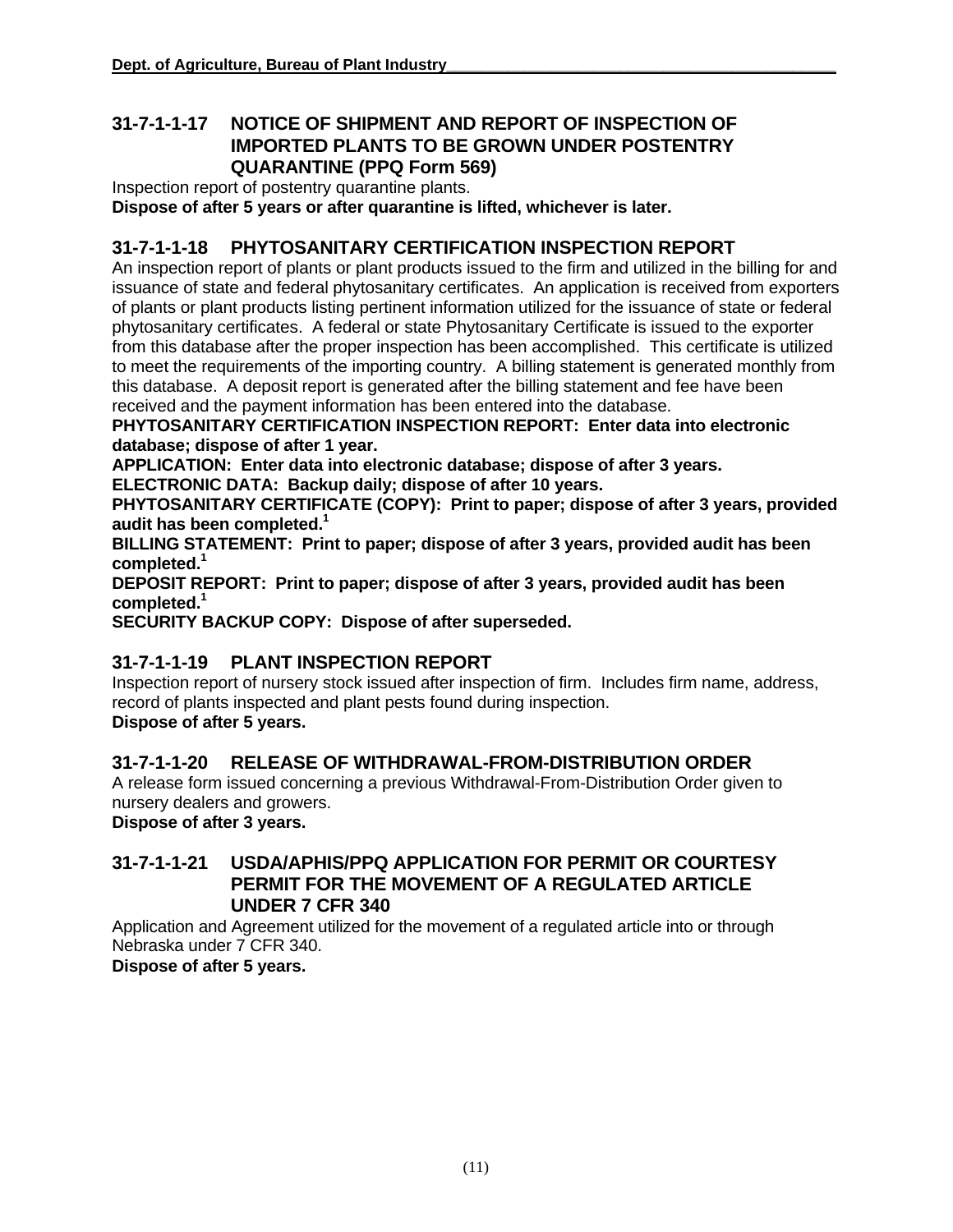#### **31-7-1-1-17 NOTICE OF SHIPMENT AND REPORT OF INSPECTION OF IMPORTED PLANTS TO BE GROWN UNDER POSTENTRY QUARANTINE (PPQ Form 569)**

Inspection report of postentry quarantine plants.

**Dispose of after 5 years or after quarantine is lifted, whichever is later.** 

#### **31-7-1-1-18 PHYTOSANITARY CERTIFICATION INSPECTION REPORT**

An inspection report of plants or plant products issued to the firm and utilized in the billing for and issuance of state and federal phytosanitary certificates. An application is received from exporters of plants or plant products listing pertinent information utilized for the issuance of state or federal phytosanitary certificates. A federal or state Phytosanitary Certificate is issued to the exporter from this database after the proper inspection has been accomplished. This certificate is utilized to meet the requirements of the importing country. A billing statement is generated monthly from this database. A deposit report is generated after the billing statement and fee have been received and the payment information has been entered into the database.

**PHYTOSANITARY CERTIFICATION INSPECTION REPORT: Enter data into electronic database; dispose of after 1 year.** 

**APPLICATION: Enter data into electronic database; dispose of after 3 years.**

**ELECTRONIC DATA: Backup daily; dispose of after 10 years.**

**PHYTOSANITARY CERTIFICATE (COPY): Print to paper; dispose of after 3 years, provided audit has been completed.1** 

**BILLING STATEMENT: Print to paper; dispose of after 3 years, provided audit has been completed. 1**

**DEPOSIT REPORT: Print to paper; dispose of after 3 years, provided audit has been completed. 1**

**SECURITY BACKUP COPY: Dispose of after superseded.** 

#### **31-7-1-1-19 PLANT INSPECTION REPORT**

Inspection report of nursery stock issued after inspection of firm. Includes firm name, address, record of plants inspected and plant pests found during inspection. **Dispose of after 5 years.** 

#### **31-7-1-1-20 RELEASE OF WITHDRAWAL-FROM-DISTRIBUTION ORDER**

A release form issued concerning a previous Withdrawal-From-Distribution Order given to nursery dealers and growers.

**Dispose of after 3 years.** 

#### **31-7-1-1-21 USDA/APHIS/PPQ APPLICATION FOR PERMIT OR COURTESY PERMIT FOR THE MOVEMENT OF A REGULATED ARTICLE UNDER 7 CFR 340**

Application and Agreement utilized for the movement of a regulated article into or through Nebraska under 7 CFR 340.

**Dispose of after 5 years.**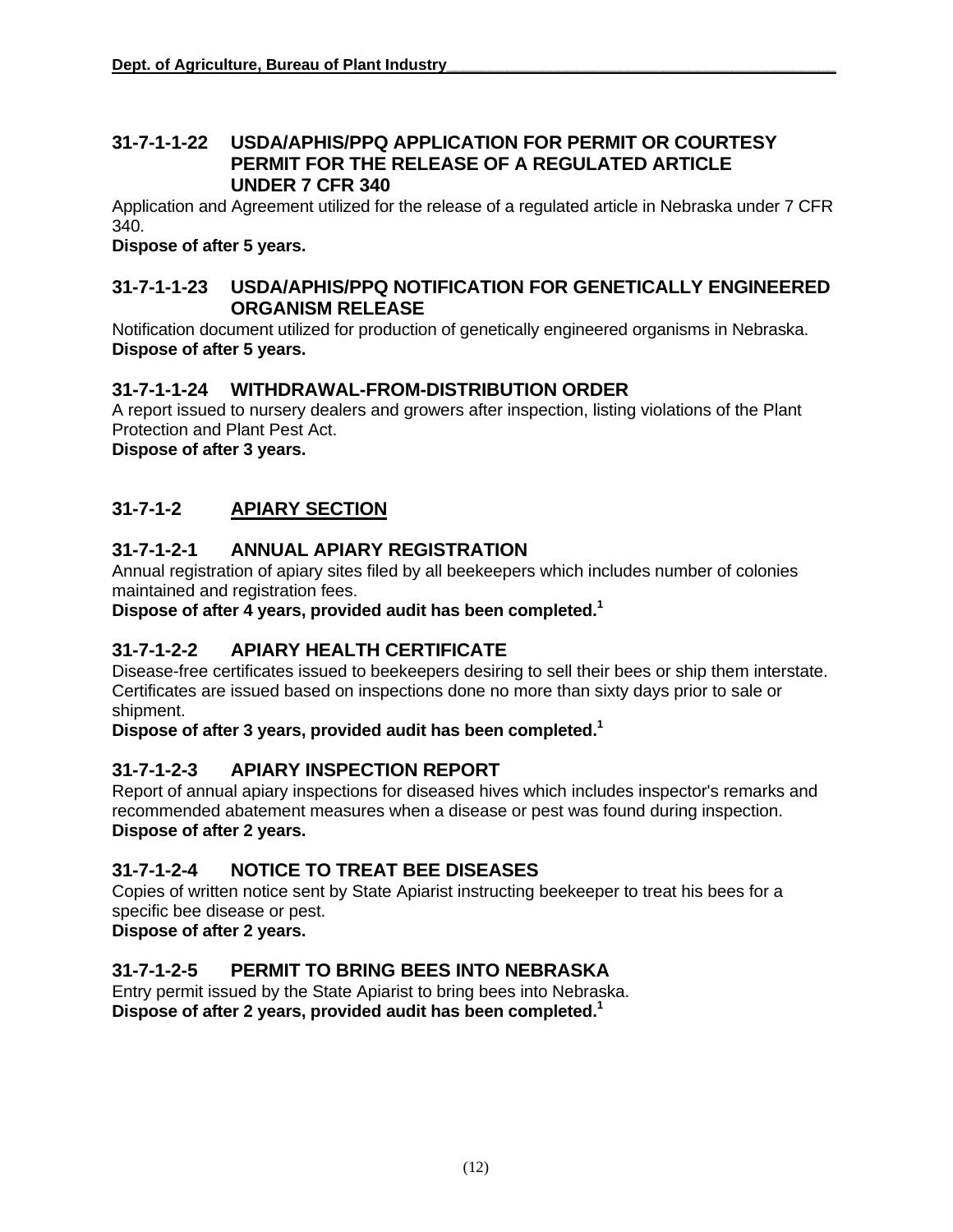#### **31-7-1-1-22 USDA/APHIS/PPQ APPLICATION FOR PERMIT OR COURTESY PERMIT FOR THE RELEASE OF A REGULATED ARTICLE UNDER 7 CFR 340**

Application and Agreement utilized for the release of a regulated article in Nebraska under 7 CFR 340.

**Dispose of after 5 years.** 

#### **31-7-1-1-23 USDA/APHIS/PPQ NOTIFICATION FOR GENETICALLY ENGINEERED ORGANISM RELEASE**

Notification document utilized for production of genetically engineered organisms in Nebraska. **Dispose of after 5 years.** 

#### **31-7-1-1-24 WITHDRAWAL-FROM-DISTRIBUTION ORDER**

A report issued to nursery dealers and growers after inspection, listing violations of the Plant Protection and Plant Pest Act.

**Dispose of after 3 years.** 

#### **31-7-1-2 APIARY SECTION**

#### **31-7-1-2-1 ANNUAL APIARY REGISTRATION**

Annual registration of apiary sites filed by all beekeepers which includes number of colonies maintained and registration fees.

**Dispose of after 4 years, provided audit has been completed.1** 

#### **31-7-1-2-2 APIARY HEALTH CERTIFICATE**

Disease-free certificates issued to beekeepers desiring to sell their bees or ship them interstate. Certificates are issued based on inspections done no more than sixty days prior to sale or shipment.

**Dispose of after 3 years, provided audit has been completed.1** 

#### **31-7-1-2-3 APIARY INSPECTION REPORT**

Report of annual apiary inspections for diseased hives which includes inspector's remarks and recommended abatement measures when a disease or pest was found during inspection. **Dispose of after 2 years.** 

#### **31-7-1-2-4 NOTICE TO TREAT BEE DISEASES**

Copies of written notice sent by State Apiarist instructing beekeeper to treat his bees for a specific bee disease or pest.

**Dispose of after 2 years.** 

#### **31-7-1-2-5 PERMIT TO BRING BEES INTO NEBRASKA**

Entry permit issued by the State Apiarist to bring bees into Nebraska. **Dispose of after 2 years, provided audit has been completed.1**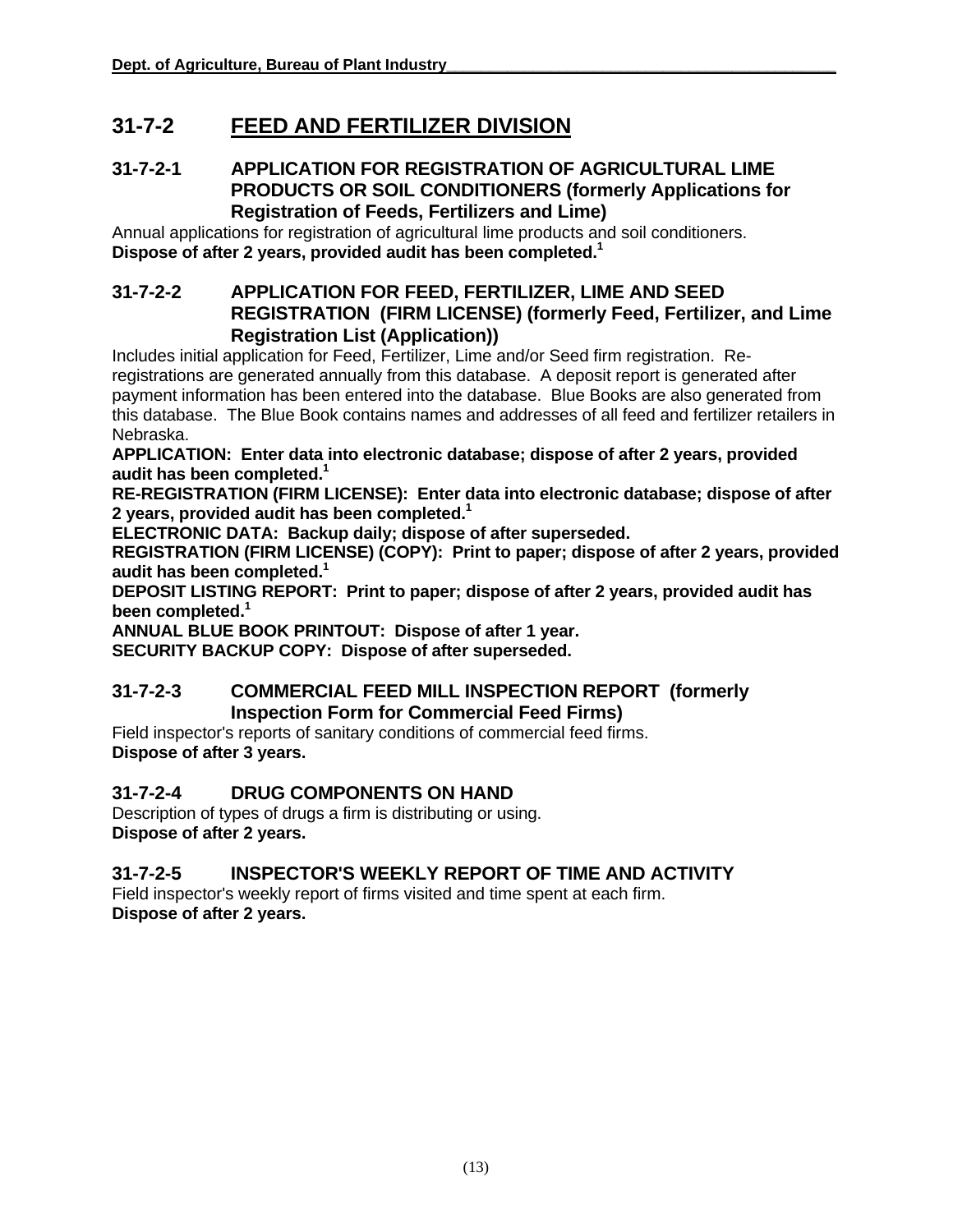# **31-7-2 FEED AND FERTILIZER DIVISION**

#### **31-7-2-1 APPLICATION FOR REGISTRATION OF AGRICULTURAL LIME PRODUCTS OR SOIL CONDITIONERS (formerly Applications for Registration of Feeds, Fertilizers and Lime)**

Annual applications for registration of agricultural lime products and soil conditioners. **Dispose of after 2 years, provided audit has been completed.1** 

#### **31-7-2-2 APPLICATION FOR FEED, FERTILIZER, LIME AND SEED REGISTRATION (FIRM LICENSE) (formerly Feed, Fertilizer, and Lime Registration List (Application))**

Includes initial application for Feed, Fertilizer, Lime and/or Seed firm registration. Reregistrations are generated annually from this database. A deposit report is generated after payment information has been entered into the database. Blue Books are also generated from this database. The Blue Book contains names and addresses of all feed and fertilizer retailers in Nebraska.

**APPLICATION: Enter data into electronic database; dispose of after 2 years, provided audit has been completed.1** 

**RE-REGISTRATION (FIRM LICENSE): Enter data into electronic database; dispose of after 2 years, provided audit has been completed.1** 

**ELECTRONIC DATA: Backup daily; dispose of after superseded.** 

**REGISTRATION (FIRM LICENSE) (COPY): Print to paper; dispose of after 2 years, provided audit has been completed.1**

**DEPOSIT LISTING REPORT: Print to paper; dispose of after 2 years, provided audit has been completed. 1**

**ANNUAL BLUE BOOK PRINTOUT: Dispose of after 1 year.** 

**SECURITY BACKUP COPY: Dispose of after superseded.** 

#### **31-7-2-3 COMMERCIAL FEED MILL INSPECTION REPORT (formerly Inspection Form for Commercial Feed Firms)**

Field inspector's reports of sanitary conditions of commercial feed firms. **Dispose of after 3 years.** 

#### **31-7-2-4 DRUG COMPONENTS ON HAND**

Description of types of drugs a firm is distributing or using. **Dispose of after 2 years.** 

#### **31-7-2-5 INSPECTOR'S WEEKLY REPORT OF TIME AND ACTIVITY**

Field inspector's weekly report of firms visited and time spent at each firm. **Dispose of after 2 years.**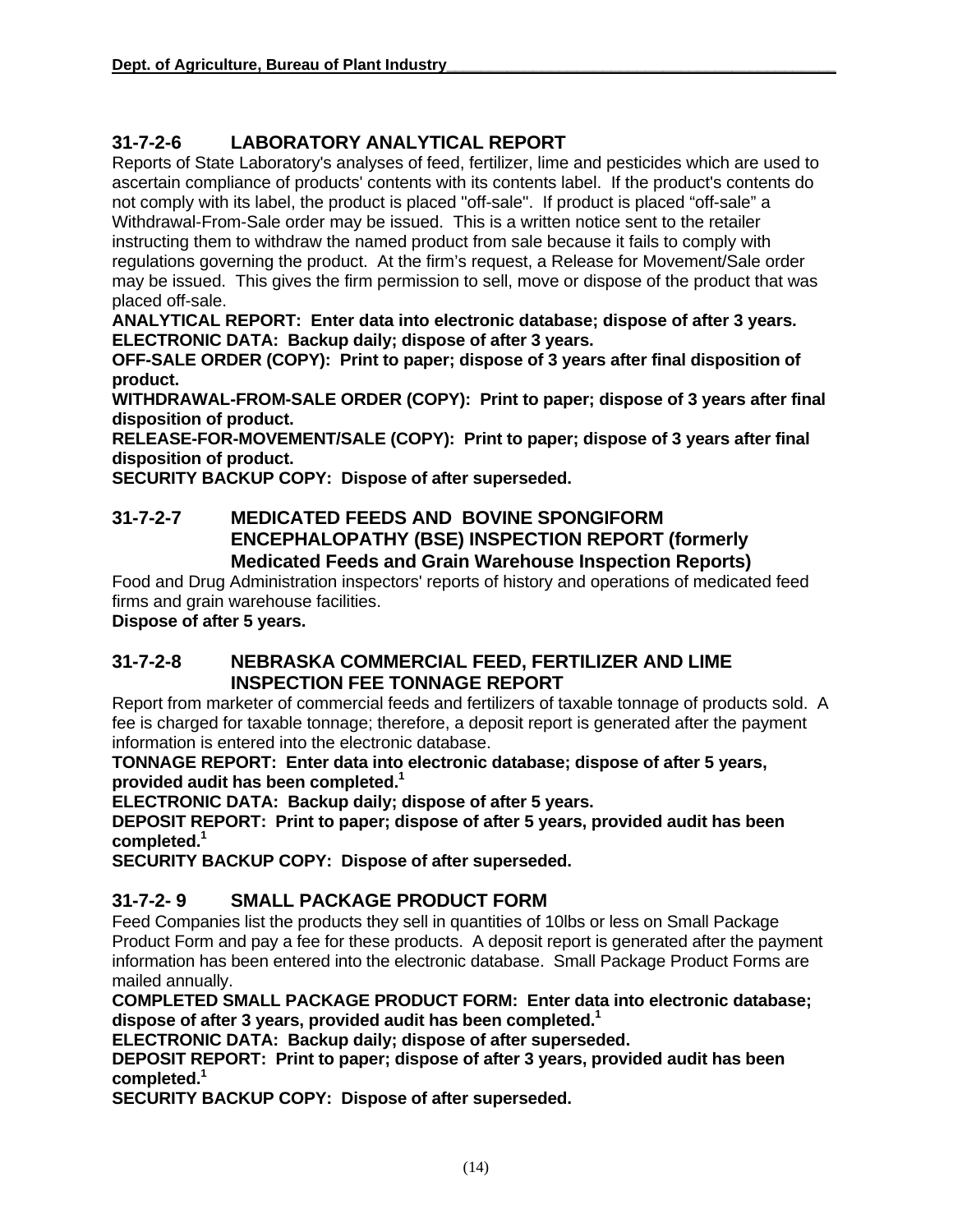#### **31-7-2-6 LABORATORY ANALYTICAL REPORT**

Reports of State Laboratory's analyses of feed, fertilizer, lime and pesticides which are used to ascertain compliance of products' contents with its contents label. If the product's contents do not comply with its label, the product is placed "off-sale". If product is placed "off-sale" a Withdrawal-From-Sale order may be issued. This is a written notice sent to the retailer instructing them to withdraw the named product from sale because it fails to comply with regulations governing the product. At the firm's request, a Release for Movement/Sale order may be issued. This gives the firm permission to sell, move or dispose of the product that was placed off-sale.

**ANALYTICAL REPORT: Enter data into electronic database; dispose of after 3 years. ELECTRONIC DATA: Backup daily; dispose of after 3 years.** 

**OFF-SALE ORDER (COPY): Print to paper; dispose of 3 years after final disposition of product.** 

**WITHDRAWAL-FROM-SALE ORDER (COPY): Print to paper; dispose of 3 years after final disposition of product.**

**RELEASE-FOR-MOVEMENT/SALE (COPY): Print to paper; dispose of 3 years after final disposition of product.**

**SECURITY BACKUP COPY: Dispose of after superseded.** 

#### **31-7-2-7 MEDICATED FEEDS AND BOVINE SPONGIFORM ENCEPHALOPATHY (BSE) INSPECTION REPORT (formerly Medicated Feeds and Grain Warehouse Inspection Reports)**

Food and Drug Administration inspectors' reports of history and operations of medicated feed firms and grain warehouse facilities.

**Dispose of after 5 years.** 

#### **31-7-2-8 NEBRASKA COMMERCIAL FEED, FERTILIZER AND LIME INSPECTION FEE TONNAGE REPORT**

Report from marketer of commercial feeds and fertilizers of taxable tonnage of products sold. A fee is charged for taxable tonnage; therefore, a deposit report is generated after the payment information is entered into the electronic database.

**TONNAGE REPORT: Enter data into electronic database; dispose of after 5 years, provided audit has been completed.1**

**ELECTRONIC DATA: Backup daily; dispose of after 5 years.** 

**DEPOSIT REPORT: Print to paper; dispose of after 5 years, provided audit has been completed. 1** 

**SECURITY BACKUP COPY: Dispose of after superseded.** 

#### **31-7-2- 9 SMALL PACKAGE PRODUCT FORM**

Feed Companies list the products they sell in quantities of 10lbs or less on Small Package Product Form and pay a fee for these products. A deposit report is generated after the payment information has been entered into the electronic database. Small Package Product Forms are mailed annually.

**COMPLETED SMALL PACKAGE PRODUCT FORM: Enter data into electronic database; dispose of after 3 years, provided audit has been completed.1** 

**ELECTRONIC DATA: Backup daily; dispose of after superseded.** 

**DEPOSIT REPORT: Print to paper; dispose of after 3 years, provided audit has been completed. 1** 

**SECURITY BACKUP COPY: Dispose of after superseded.**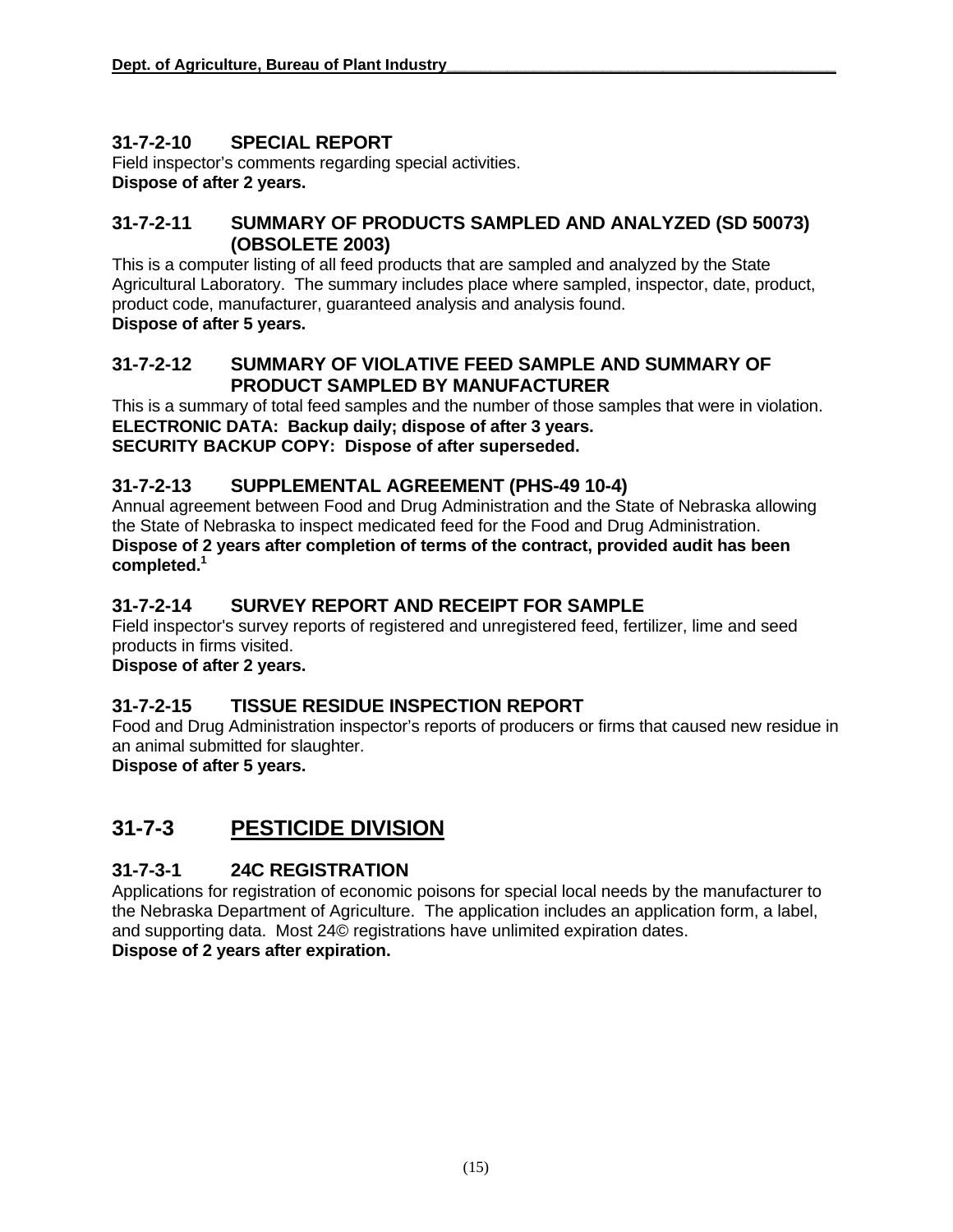#### **31-7-2-10 SPECIAL REPORT**

Field inspector's comments regarding special activities. **Dispose of after 2 years.** 

#### **31-7-2-11 SUMMARY OF PRODUCTS SAMPLED AND ANALYZED (SD 50073) (OBSOLETE 2003)**

This is a computer listing of all feed products that are sampled and analyzed by the State Agricultural Laboratory. The summary includes place where sampled, inspector, date, product, product code, manufacturer, guaranteed analysis and analysis found. **Dispose of after 5 years.** 

#### **31-7-2-12 SUMMARY OF VIOLATIVE FEED SAMPLE AND SUMMARY OF PRODUCT SAMPLED BY MANUFACTURER**

This is a summary of total feed samples and the number of those samples that were in violation. **ELECTRONIC DATA: Backup daily; dispose of after 3 years. SECURITY BACKUP COPY: Dispose of after superseded.** 

#### **31-7-2-13 SUPPLEMENTAL AGREEMENT (PHS-49 10-4)**

Annual agreement between Food and Drug Administration and the State of Nebraska allowing the State of Nebraska to inspect medicated feed for the Food and Drug Administration. **Dispose of 2 years after completion of terms of the contract, provided audit has been completed. 1**

#### **31-7-2-14 SURVEY REPORT AND RECEIPT FOR SAMPLE**

Field inspector's survey reports of registered and unregistered feed, fertilizer, lime and seed products in firms visited.

**Dispose of after 2 years.** 

#### **31-7-2-15 TISSUE RESIDUE INSPECTION REPORT**

Food and Drug Administration inspector's reports of producers or firms that caused new residue in an animal submitted for slaughter.

**Dispose of after 5 years.** 

# **31-7-3 PESTICIDE DIVISION**

#### **31-7-3-1 24C REGISTRATION**

Applications for registration of economic poisons for special local needs by the manufacturer to the Nebraska Department of Agriculture. The application includes an application form, a label, and supporting data. Most 24© registrations have unlimited expiration dates. **Dispose of 2 years after expiration.**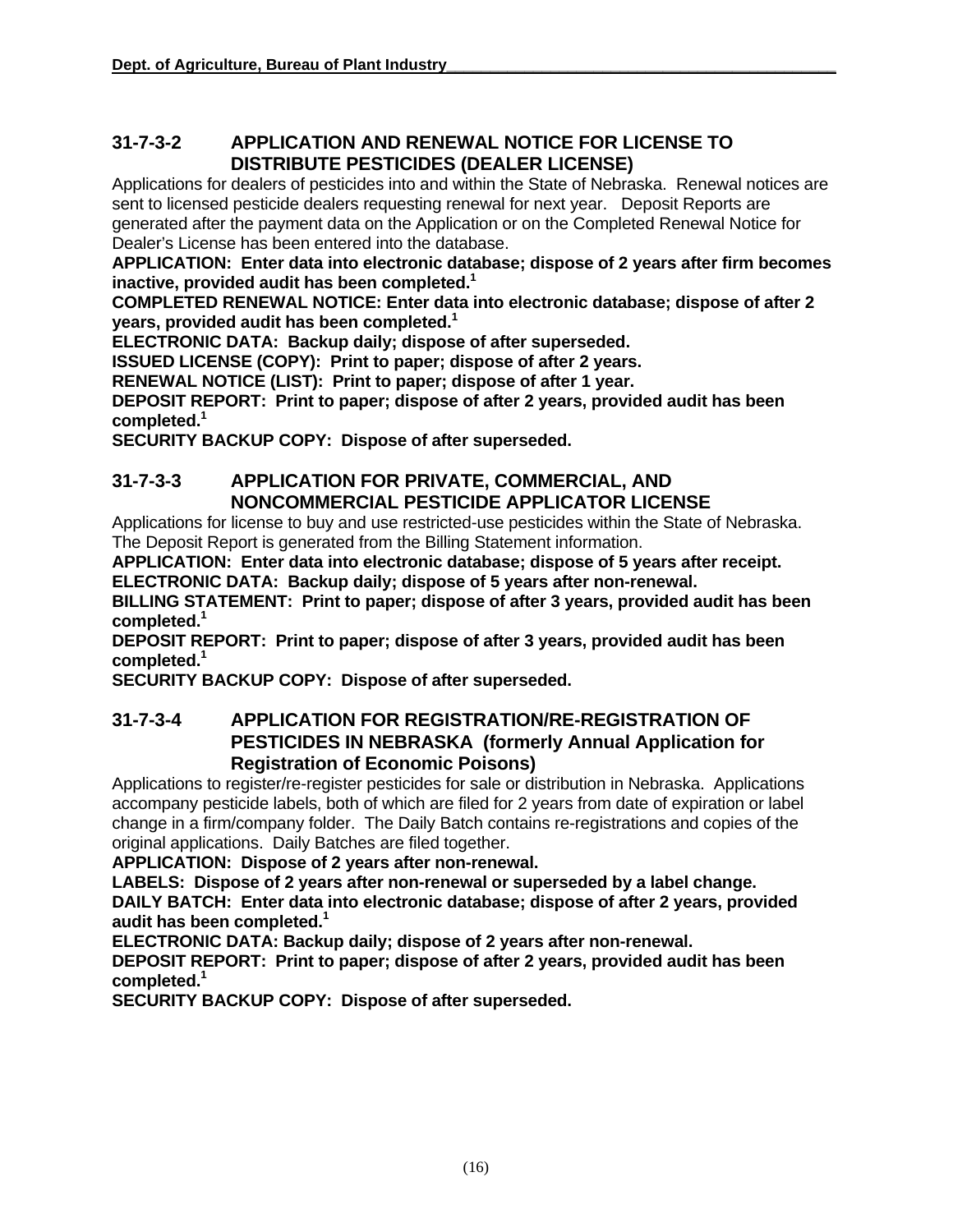#### **31-7-3-2 APPLICATION AND RENEWAL NOTICE FOR LICENSE TO DISTRIBUTE PESTICIDES (DEALER LICENSE)**

Applications for dealers of pesticides into and within the State of Nebraska. Renewal notices are sent to licensed pesticide dealers requesting renewal for next year. Deposit Reports are generated after the payment data on the Application or on the Completed Renewal Notice for Dealer's License has been entered into the database.

**APPLICATION: Enter data into electronic database; dispose of 2 years after firm becomes inactive, provided audit has been completed. 1** 

**COMPLETED RENEWAL NOTICE: Enter data into electronic database; dispose of after 2 years, provided audit has been completed.1**

**ELECTRONIC DATA: Backup daily; dispose of after superseded.** 

**ISSUED LICENSE (COPY): Print to paper; dispose of after 2 years.**

**RENEWAL NOTICE (LIST): Print to paper; dispose of after 1 year.** 

**DEPOSIT REPORT: Print to paper; dispose of after 2 years, provided audit has been completed. 1**

**SECURITY BACKUP COPY: Dispose of after superseded.** 

#### **31-7-3-3 APPLICATION FOR PRIVATE, COMMERCIAL, AND NONCOMMERCIAL PESTICIDE APPLICATOR LICENSE**

Applications for license to buy and use restricted-use pesticides within the State of Nebraska. The Deposit Report is generated from the Billing Statement information.

**APPLICATION: Enter data into electronic database; dispose of 5 years after receipt. ELECTRONIC DATA: Backup daily; dispose of 5 years after non-renewal.** 

**BILLING STATEMENT: Print to paper; dispose of after 3 years, provided audit has been completed. 1** 

**DEPOSIT REPORT: Print to paper; dispose of after 3 years, provided audit has been completed. 1**

**SECURITY BACKUP COPY: Dispose of after superseded.** 

#### **31-7-3-4 APPLICATION FOR REGISTRATION/RE-REGISTRATION OF PESTICIDES IN NEBRASKA (formerly Annual Application for Registration of Economic Poisons)**

Applications to register/re-register pesticides for sale or distribution in Nebraska. Applications accompany pesticide labels, both of which are filed for 2 years from date of expiration or label change in a firm/company folder. The Daily Batch contains re-registrations and copies of the original applications. Daily Batches are filed together.

**APPLICATION: Dispose of 2 years after non-renewal.** 

**LABELS: Dispose of 2 years after non-renewal or superseded by a label change. DAILY BATCH: Enter data into electronic database; dispose of after 2 years, provided audit has been completed.1**

**ELECTRONIC DATA: Backup daily; dispose of 2 years after non-renewal.** 

**DEPOSIT REPORT: Print to paper; dispose of after 2 years, provided audit has been completed. 1**

**SECURITY BACKUP COPY: Dispose of after superseded.**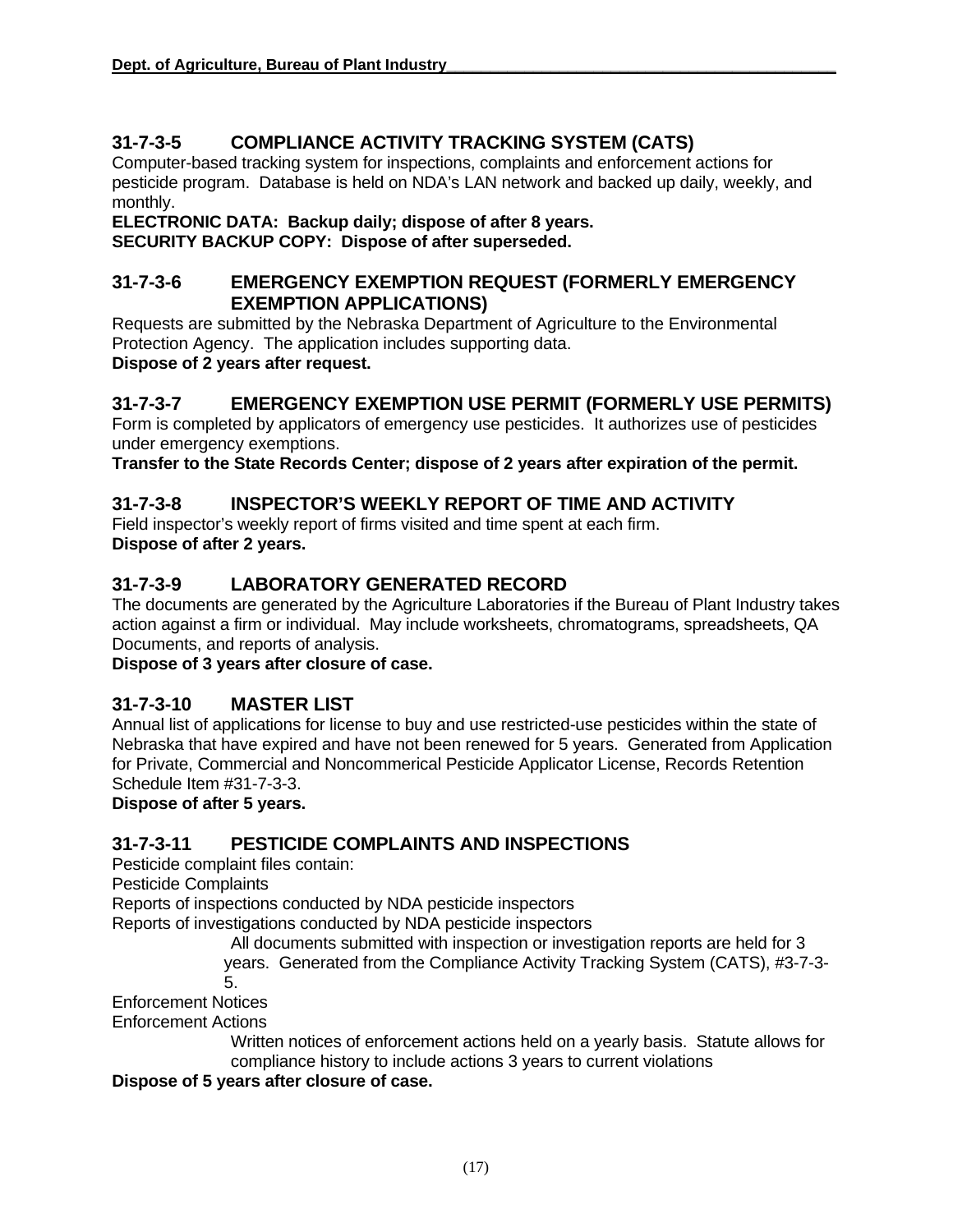#### **31-7-3-5 COMPLIANCE ACTIVITY TRACKING SYSTEM (CATS)**

Computer-based tracking system for inspections, complaints and enforcement actions for pesticide program. Database is held on NDA's LAN network and backed up daily, weekly, and monthly.

**ELECTRONIC DATA: Backup daily; dispose of after 8 years. SECURITY BACKUP COPY: Dispose of after superseded.** 

#### **31-7-3-6 EMERGENCY EXEMPTION REQUEST (FORMERLY EMERGENCY EXEMPTION APPLICATIONS)**

Requests are submitted by the Nebraska Department of Agriculture to the Environmental Protection Agency. The application includes supporting data. **Dispose of 2 years after request.** 

#### **31-7-3-7 EMERGENCY EXEMPTION USE PERMIT (FORMERLY USE PERMITS)**

Form is completed by applicators of emergency use pesticides. It authorizes use of pesticides under emergency exemptions.

**Transfer to the State Records Center; dispose of 2 years after expiration of the permit.** 

#### **31-7-3-8 INSPECTOR'S WEEKLY REPORT OF TIME AND ACTIVITY**

Field inspector's weekly report of firms visited and time spent at each firm. **Dispose of after 2 years.** 

#### **31-7-3-9 LABORATORY GENERATED RECORD**

The documents are generated by the Agriculture Laboratories if the Bureau of Plant Industry takes action against a firm or individual. May include worksheets, chromatograms, spreadsheets, QA Documents, and reports of analysis.

**Dispose of 3 years after closure of case.**

#### **31-7-3-10 MASTER LIST**

Annual list of applications for license to buy and use restricted-use pesticides within the state of Nebraska that have expired and have not been renewed for 5 years. Generated from Application for Private, Commercial and Noncommerical Pesticide Applicator License, Records Retention Schedule Item #31-7-3-3.

#### **Dispose of after 5 years.**

#### **31-7-3-11 PESTICIDE COMPLAINTS AND INSPECTIONS**

Pesticide complaint files contain:

Pesticide Complaints

Reports of inspections conducted by NDA pesticide inspectors

Reports of investigations conducted by NDA pesticide inspectors

All documents submitted with inspection or investigation reports are held for 3

years. Generated from the Compliance Activity Tracking System (CATS), #3-7-3-

5.

Enforcement Notices

Enforcement Actions

Written notices of enforcement actions held on a yearly basis. Statute allows for compliance history to include actions 3 years to current violations

**Dispose of 5 years after closure of case.**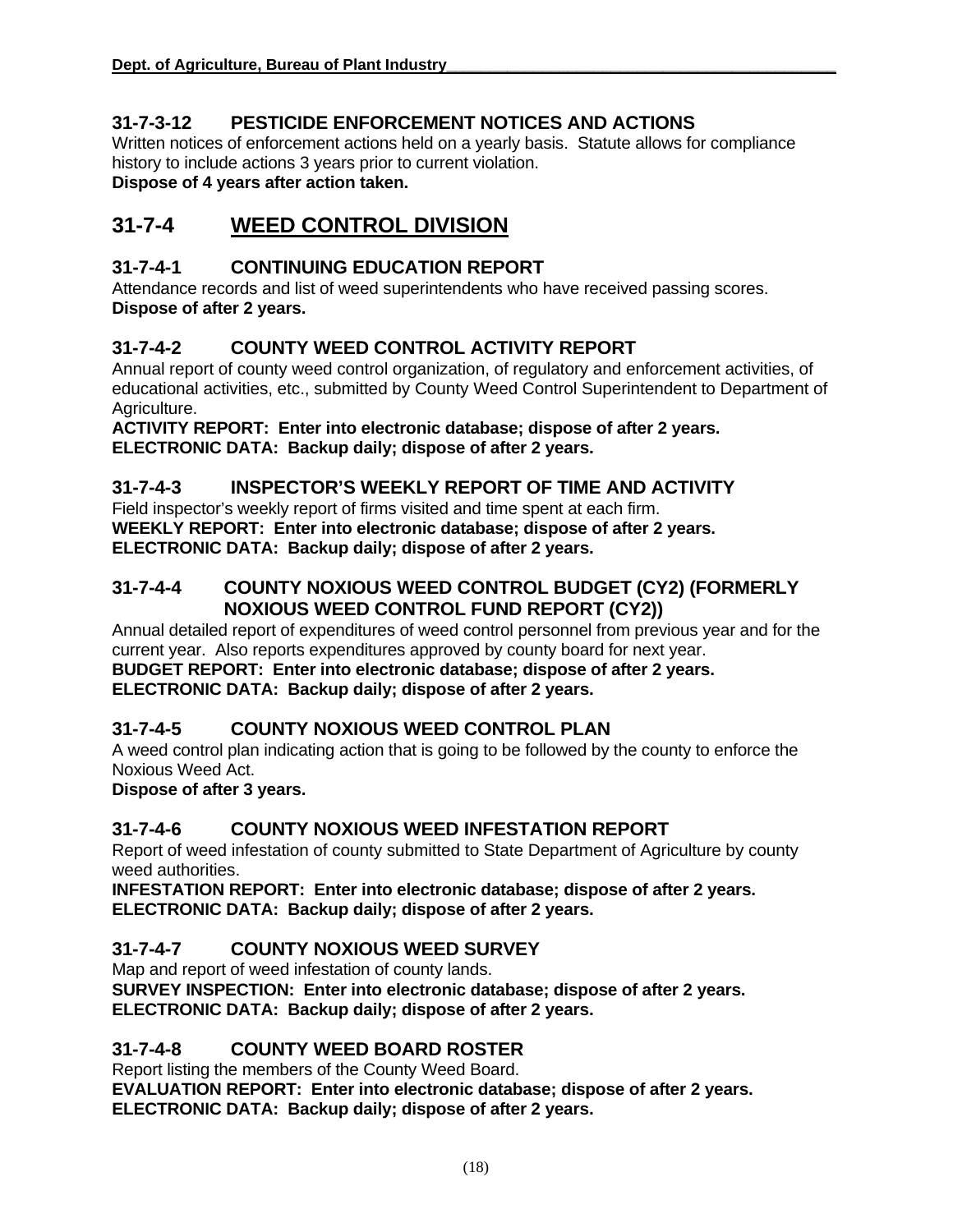#### **31-7-3-12 PESTICIDE ENFORCEMENT NOTICES AND ACTIONS**

Written notices of enforcement actions held on a yearly basis. Statute allows for compliance history to include actions 3 years prior to current violation. **Dispose of 4 years after action taken.** 

## **31-7-4 WEED CONTROL DIVISION**

#### **31-7-4-1 CONTINUING EDUCATION REPORT**

Attendance records and list of weed superintendents who have received passing scores. **Dispose of after 2 years.** 

#### **31-7-4-2 COUNTY WEED CONTROL ACTIVITY REPORT**

Annual report of county weed control organization, of regulatory and enforcement activities, of educational activities, etc., submitted by County Weed Control Superintendent to Department of Agriculture.

**ACTIVITY REPORT: Enter into electronic database; dispose of after 2 years. ELECTRONIC DATA: Backup daily; dispose of after 2 years.** 

#### **31-7-4-3 INSPECTOR'S WEEKLY REPORT OF TIME AND ACTIVITY**

Field inspector's weekly report of firms visited and time spent at each firm. **WEEKLY REPORT: Enter into electronic database; dispose of after 2 years. ELECTRONIC DATA: Backup daily; dispose of after 2 years.** 

#### **31-7-4-4 COUNTY NOXIOUS WEED CONTROL BUDGET (CY2) (FORMERLY NOXIOUS WEED CONTROL FUND REPORT (CY2))**

Annual detailed report of expenditures of weed control personnel from previous year and for the current year. Also reports expenditures approved by county board for next year.

**BUDGET REPORT: Enter into electronic database; dispose of after 2 years. ELECTRONIC DATA: Backup daily; dispose of after 2 years.** 

#### **31-7-4-5 COUNTY NOXIOUS WEED CONTROL PLAN**

A weed control plan indicating action that is going to be followed by the county to enforce the Noxious Weed Act.

**Dispose of after 3 years.** 

#### **31-7-4-6 COUNTY NOXIOUS WEED INFESTATION REPORT**

Report of weed infestation of county submitted to State Department of Agriculture by county weed authorities.

**INFESTATION REPORT: Enter into electronic database; dispose of after 2 years. ELECTRONIC DATA: Backup daily; dispose of after 2 years.** 

#### **31-7-4-7 COUNTY NOXIOUS WEED SURVEY**

Map and report of weed infestation of county lands.

**SURVEY INSPECTION: Enter into electronic database; dispose of after 2 years. ELECTRONIC DATA: Backup daily; dispose of after 2 years.** 

#### **31-7-4-8 COUNTY WEED BOARD ROSTER**

Report listing the members of the County Weed Board.

**EVALUATION REPORT: Enter into electronic database; dispose of after 2 years. ELECTRONIC DATA: Backup daily; dispose of after 2 years.**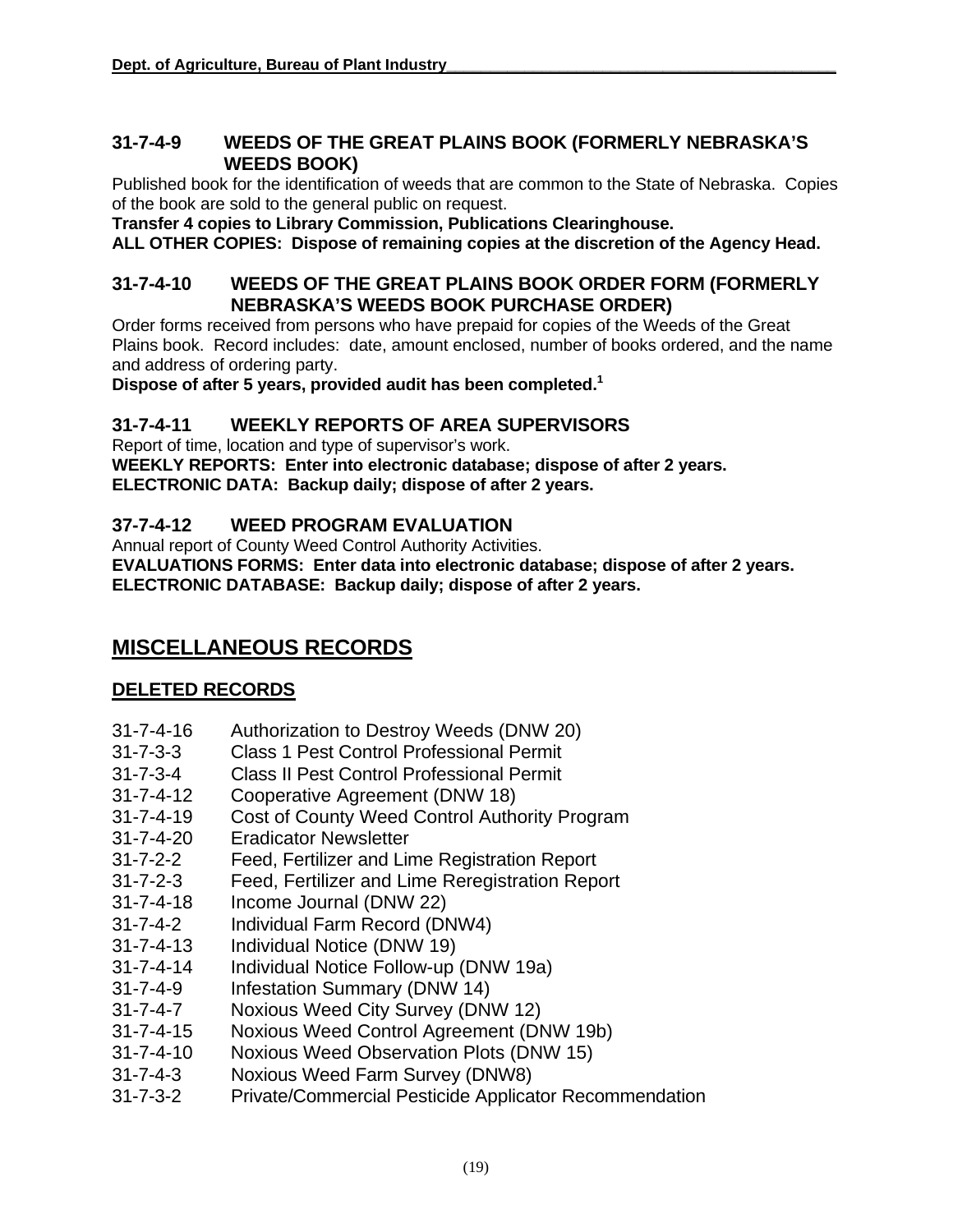#### **31-7-4-9 WEEDS OF THE GREAT PLAINS BOOK (FORMERLY NEBRASKA'S WEEDS BOOK)**

Published book for the identification of weeds that are common to the State of Nebraska. Copies of the book are sold to the general public on request.

**Transfer 4 copies to Library Commission, Publications Clearinghouse.**

**ALL OTHER COPIES: Dispose of remaining copies at the discretion of the Agency Head.** 

#### **31-7-4-10 WEEDS OF THE GREAT PLAINS BOOK ORDER FORM (FORMERLY NEBRASKA'S WEEDS BOOK PURCHASE ORDER)**

Order forms received from persons who have prepaid for copies of the Weeds of the Great Plains book. Record includes: date, amount enclosed, number of books ordered, and the name and address of ordering party.

**Dispose of after 5 years, provided audit has been completed.1** 

#### **31-7-4-11 WEEKLY REPORTS OF AREA SUPERVISORS**

Report of time, location and type of supervisor's work. **WEEKLY REPORTS: Enter into electronic database; dispose of after 2 years. ELECTRONIC DATA: Backup daily; dispose of after 2 years.** 

#### **37-7-4-12 WEED PROGRAM EVALUATION**

Annual report of County Weed Control Authority Activities.

**EVALUATIONS FORMS: Enter data into electronic database; dispose of after 2 years. ELECTRONIC DATABASE: Backup daily; dispose of after 2 years.**

## **MISCELLANEOUS RECORDS**

#### **DELETED RECORDS**

- 31-7-4-16 Authorization to Destroy Weeds (DNW 20)
- 31-7-3-3 Class 1 Pest Control Professional Permit
- 31-7-3-4 Class II Pest Control Professional Permit
- 31-7-4-12 Cooperative Agreement (DNW 18)
- 31-7-4-19 Cost of County Weed Control Authority Program
- 31-7-4-20 Eradicator Newsletter
- 31-7-2-2 Feed, Fertilizer and Lime Registration Report
- 31-7-2-3 Feed, Fertilizer and Lime Reregistration Report
- 31-7-4-18 Income Journal (DNW 22)
- 31-7-4-2 Individual Farm Record (DNW4)
- 31-7-4-13 Individual Notice (DNW 19)
- 31-7-4-14 Individual Notice Follow-up (DNW 19a)
- 31-7-4-9 Infestation Summary (DNW 14)
- 31-7-4-7 Noxious Weed City Survey (DNW 12)
- 31-7-4-15 Noxious Weed Control Agreement (DNW 19b)
- 31-7-4-10 Noxious Weed Observation Plots (DNW 15)
- 31-7-4-3 Noxious Weed Farm Survey (DNW8)
- 31-7-3-2 Private/Commercial Pesticide Applicator Recommendation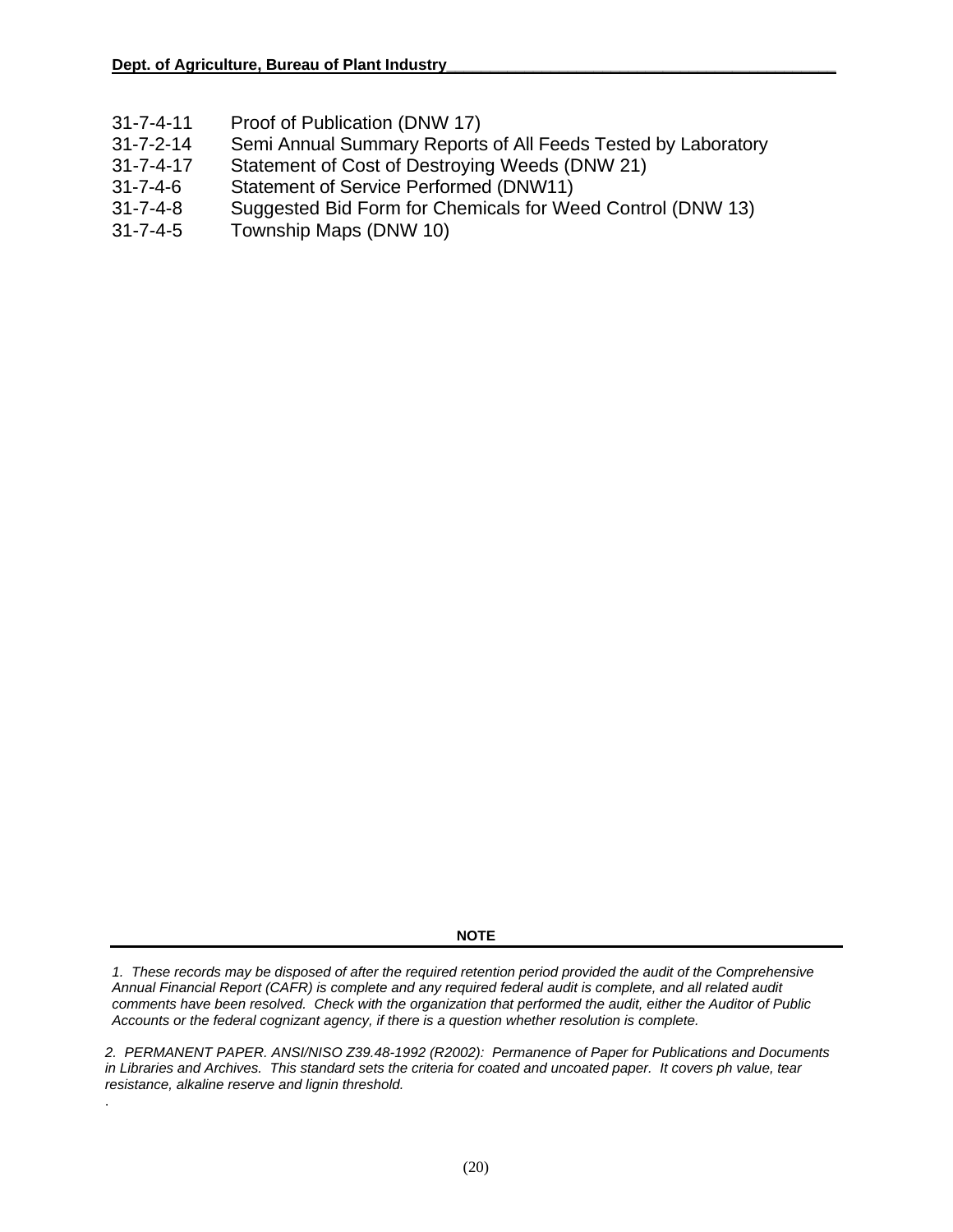- 31-7-4-11 Proof of Publication (DNW 17)
- 31-7-2-14 Semi Annual Summary Reports of All Feeds Tested by Laboratory
- 31-7-4-17 Statement of Cost of Destroying Weeds (DNW 21)
- 31-7-4-6 Statement of Service Performed (DNW11)
- 31-7-4-8 Suggested Bid Form for Chemicals for Weed Control (DNW 13)
- 31-7-4-5 Township Maps (DNW 10)

.

**NOTE** 

1. These records may be disposed of after the required retention period provided the audit of the Comprehensive *Annual Financial Report (CAFR) is complete and any required federal audit is complete, and all related audit comments have been resolved. Check with the organization that performed the audit, either the Auditor of Public Accounts or the federal cognizant agency, if there is a question whether resolution is complete.* 

*2. PERMANENT PAPER. ANSI/NISO Z39.48-1992 (R2002): Permanence of Paper for Publications and Documents in Libraries and Archives. This standard sets the criteria for coated and uncoated paper. It covers ph value, tear resistance, alkaline reserve and lignin threshold.*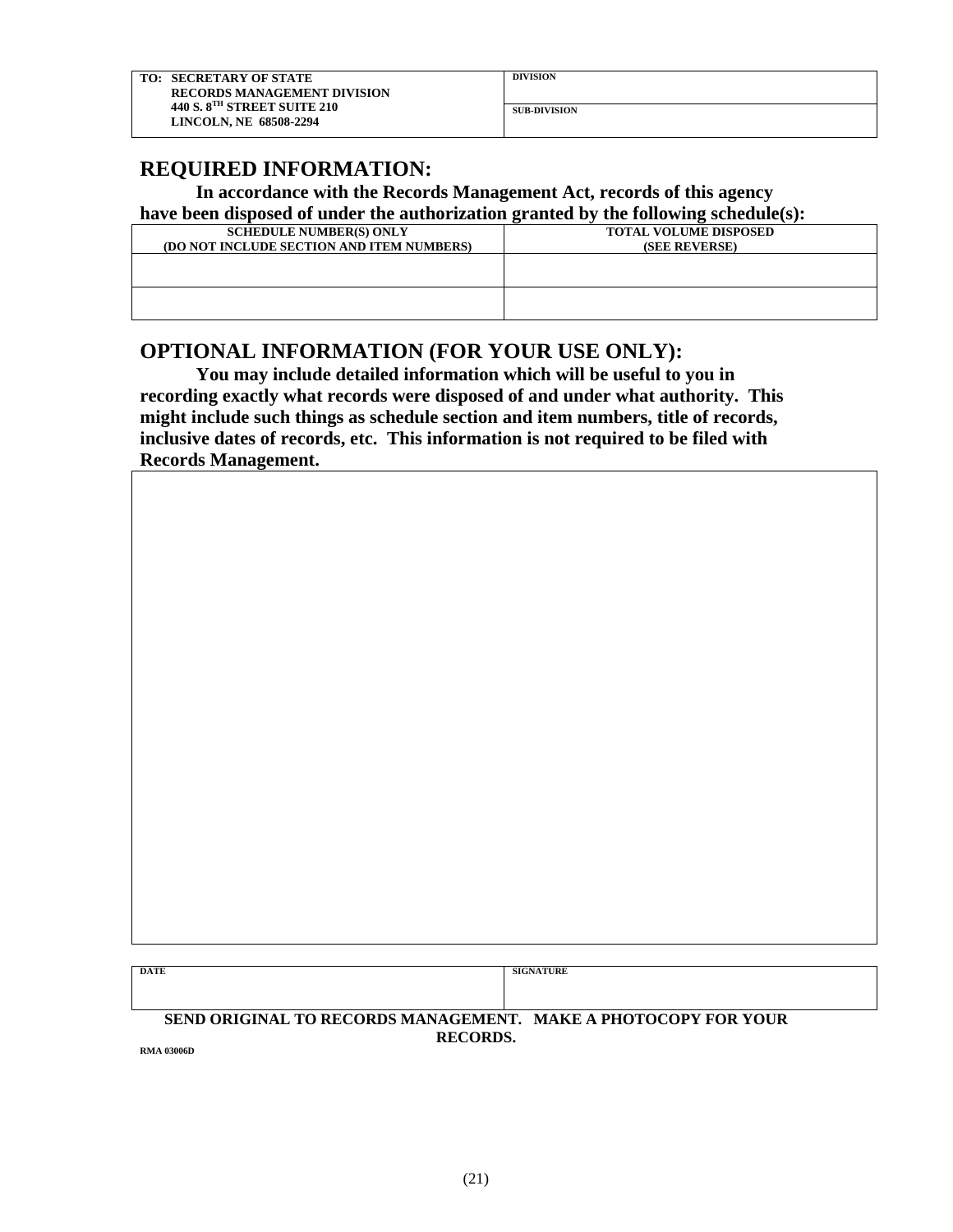### **REQUIRED INFORMATION:**

#### **In accordance with the Records Management Act, records of this agency have been disposed of under the authorization granted by the following schedule(s):**

| nave been angobed of anuel the authorization granted b<br>the Tonowing Sencutate (57. |                              |
|---------------------------------------------------------------------------------------|------------------------------|
| <b>SCHEDULE NUMBER(S) ONLY</b>                                                        | <b>TOTAL VOLUME DISPOSED</b> |
| (DO NOT INCLUDE SECTION AND ITEM NUMBERS)                                             | (SEE REVERSE)                |
|                                                                                       |                              |
|                                                                                       |                              |
|                                                                                       |                              |
|                                                                                       |                              |
|                                                                                       |                              |

#### **OPTIONAL INFORMATION (FOR YOUR USE ONLY):**

**You may include detailed information which will be useful to you in recording exactly what records were disposed of and under what authority. This might include such things as schedule section and item numbers, title of records, inclusive dates of records, etc. This information is not required to be filed with Records Management.**

| DATE | <b>SIGNATURE</b> |
|------|------------------|
|      |                  |
|      |                  |

#### **SEND ORIGINAL TO RECORDS MANAGEMENT. MAKE A PHOTOCOPY FOR YOUR RECORDS.** RMA 03006D